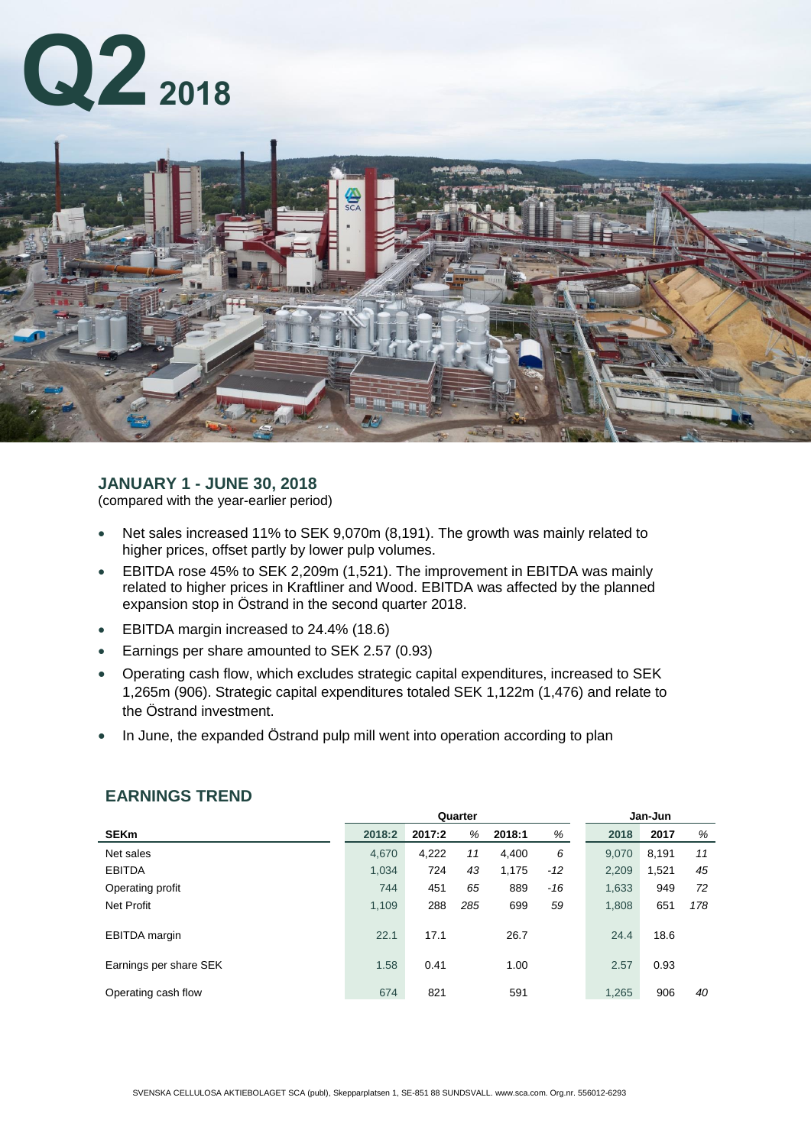



# **JANUARY 1 - JUNE 30, 2018**

(compared with the year-earlier period)

- Net sales increased 11% to SEK 9,070m (8,191). The growth was mainly related to higher prices, offset partly by lower pulp volumes.
- EBITDA rose 45% to SEK 2,209m (1,521). The improvement in EBITDA was mainly related to higher prices in Kraftliner and Wood. EBITDA was affected by the planned expansion stop in Östrand in the second quarter 2018.
- EBITDA margin increased to 24.4% (18.6)
- Earnings per share amounted to SEK 2.57 (0.93)
- Operating cash flow, which excludes strategic capital expenditures, increased to SEK 1,265m (906). Strategic capital expenditures totaled SEK 1,122m (1,476) and relate to the Östrand investment.
- In June, the expanded Östrand pulp mill went into operation according to plan

|                        | Quarter |        |     |        |       | Jan-Jun |       |     |  |
|------------------------|---------|--------|-----|--------|-------|---------|-------|-----|--|
| <b>SEKm</b>            | 2018:2  | 2017:2 | %   | 2018:1 | %     | 2018    | 2017  | %   |  |
| Net sales              | 4,670   | 4,222  | 11  | 4,400  | 6     | 9,070   | 8,191 | 11  |  |
| <b>EBITDA</b>          | 1,034   | 724    | 43  | 1,175  | $-12$ | 2,209   | 1,521 | 45  |  |
| Operating profit       | 744     | 451    | 65  | 889    | $-16$ | 1,633   | 949   | 72  |  |
| <b>Net Profit</b>      | 1.109   | 288    | 285 | 699    | 59    | 1,808   | 651   | 178 |  |
| <b>EBITDA</b> margin   | 22.1    | 17.1   |     | 26.7   |       | 24.4    | 18.6  |     |  |
| Earnings per share SEK | 1.58    | 0.41   |     | 1.00   |       | 2.57    | 0.93  |     |  |
| Operating cash flow    | 674     | 821    |     | 591    |       | 1,265   | 906   | 40  |  |

# **EARNINGS TREND**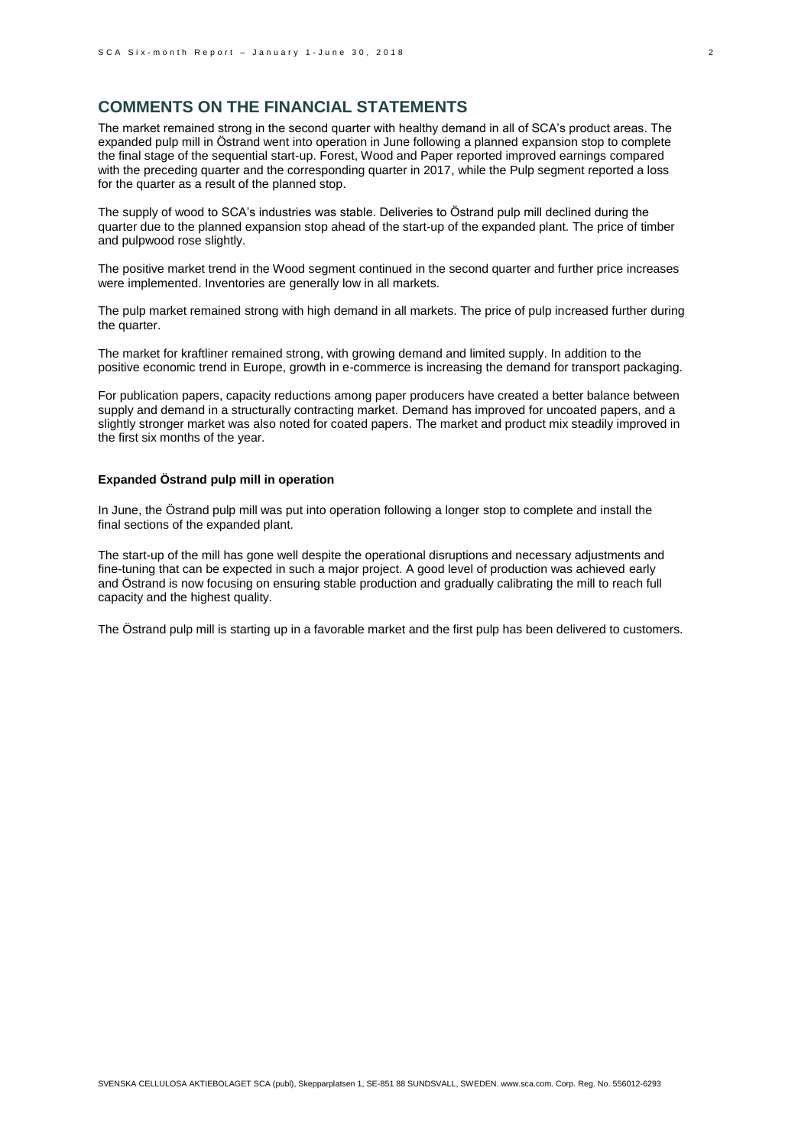# **COMMENTS ON THE FINANCIAL STATEMENTS**

The market remained strong in the second quarter with healthy demand in all of SCA's product areas. The expanded pulp mill in Östrand went into operation in June following a planned expansion stop to complete the final stage of the sequential start-up. Forest, Wood and Paper reported improved earnings compared with the preceding quarter and the corresponding quarter in 2017, while the Pulp segment reported a loss for the quarter as a result of the planned stop.

The supply of wood to SCA's industries was stable. Deliveries to Östrand pulp mill declined during the quarter due to the planned expansion stop ahead of the start-up of the expanded plant. The price of timber and pulpwood rose slightly.

The positive market trend in the Wood segment continued in the second quarter and further price increases were implemented. Inventories are generally low in all markets.

The pulp market remained strong with high demand in all markets. The price of pulp increased further during the quarter.

The market for kraftliner remained strong, with growing demand and limited supply. In addition to the positive economic trend in Europe, growth in e-commerce is increasing the demand for transport packaging.

For publication papers, capacity reductions among paper producers have created a better balance between supply and demand in a structurally contracting market. Demand has improved for uncoated papers, and a slightly stronger market was also noted for coated papers. The market and product mix steadily improved in the first six months of the year.

### **Expanded Östrand pulp mill in operation**

In June, the Östrand pulp mill was put into operation following a longer stop to complete and install the final sections of the expanded plant.

The start-up of the mill has gone well despite the operational disruptions and necessary adjustments and fine-tuning that can be expected in such a major project. A good level of production was achieved early and Östrand is now focusing on ensuring stable production and gradually calibrating the mill to reach full capacity and the highest quality.

The Östrand pulp mill is starting up in a favorable market and the first pulp has been delivered to customers.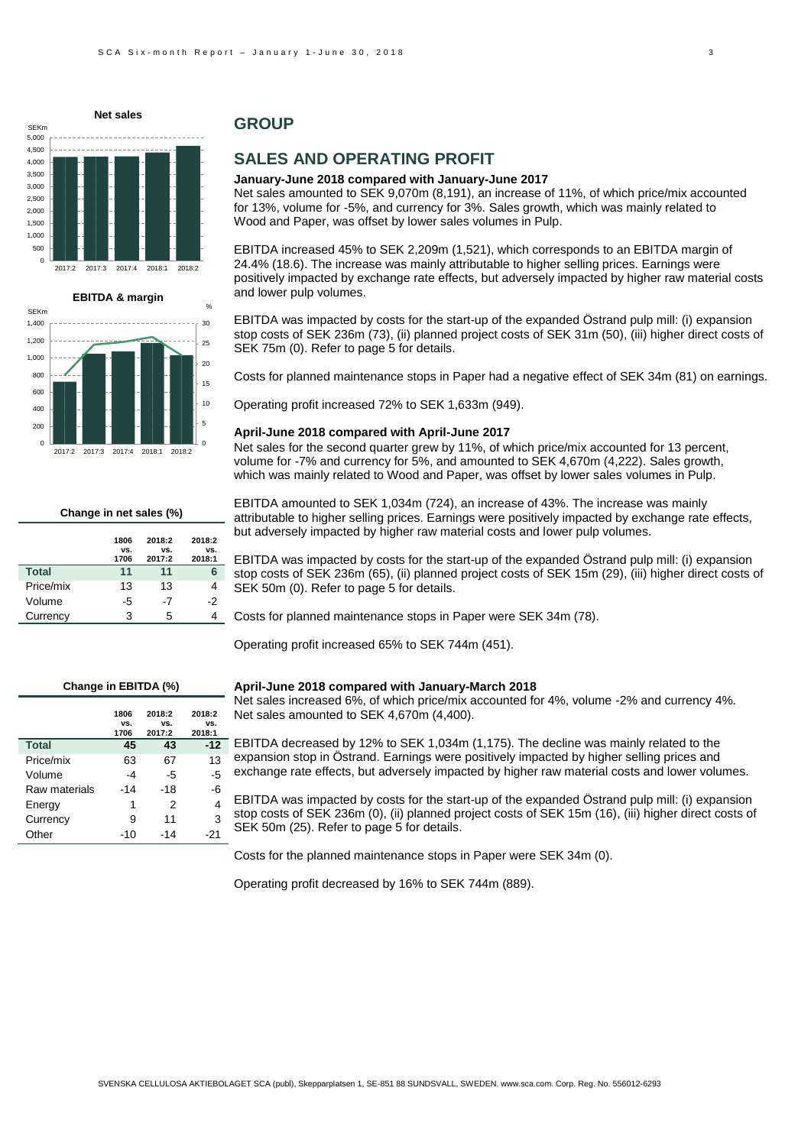



**Change in net sales (%)**

|              | 1806<br>VS.<br>1706 | 2018:2<br>VS.<br>2017:2 | 2018:2<br>VS.<br>2018:1 |
|--------------|---------------------|-------------------------|-------------------------|
| <b>Total</b> | 11                  | 11                      |                         |
| Price/mix    | 13                  | 13                      | 4                       |
| Volume       | -5                  | -7                      | -2                      |
| Currency     | 3                   | 5                       |                         |

# **GROUP**

# **SALES AND OPERATING PROFIT**

#### **January-June 2018 compared with January-June 2017**

Net sales amounted to SEK 9,070m (8,191), an increase of 11%, of which price/mix accounted for 13%, volume for -5%, and currency for 3%. Sales growth, which was mainly related to Wood and Paper, was offset by lower sales volumes in Pulp.

EBITDA increased 45% to SEK 2,209m (1,521), which corresponds to an EBITDA margin of 24.4% (18.6). The increase was mainly attributable to higher selling prices. Earnings were positively impacted by exchange rate effects, but adversely impacted by higher raw material costs and lower pulp volumes.

EBITDA was impacted by costs for the start-up of the expanded Östrand pulp mill: (i) expansion stop costs of SEK 236m (73), (ii) planned project costs of SEK 31m (50), (iii) higher direct costs of SEK 75m (0). Refer to page 5 for details.

Costs for planned maintenance stops in Paper had a negative effect of SEK 34m (81) on earnings.

Operating profit increased 72% to SEK 1,633m (949).

#### **April-June 2018 compared with April-June 2017**

Net sales for the second quarter grew by 11%, of which price/mix accounted for 13 percent. volume for -7% and currency for 5%, and amounted to SEK 4,670m (4,222). Sales growth, which was mainly related to Wood and Paper, was offset by lower sales volumes in Pulp.

EBITDA amounted to SEK 1,034m (724), an increase of 43%. The increase was mainly attributable to higher selling prices. Earnings were positively impacted by exchange rate effects, but adversely impacted by higher raw material costs and lower pulp volumes.

EBITDA was impacted by costs for the start-up of the expanded Östrand pulp mill: (i) expansion stop costs of SEK 236m (65), (ii) planned project costs of SEK 15m (29), (iii) higher direct costs of SEK 50m (0). Refer to page 5 for details.

Costs for planned maintenance stops in Paper were SEK 34m (78).

Operating profit increased 65% to SEK 744m (451).

#### **Change in EBITDA (%)**

|               | 1806<br>VS.<br>1706 | 2018:2<br>VS.<br>2017:2 | 2018:2<br>VS.<br>2018:1 |
|---------------|---------------------|-------------------------|-------------------------|
| <b>Total</b>  | 45                  | 43                      | $-12$                   |
| Price/mix     | 63                  | 67                      | 13                      |
| Volume        | -4                  | -5                      | -5                      |
| Raw materials | -14                 | -18                     | -6                      |
| Energy        | 1                   | 2                       | 4                       |
| Currency      | 9                   | 11                      | 3                       |
| Other         | -10                 | -14                     | -21                     |

#### **April-June 2018 compared with January-March 2018**

Net sales increased 6%, of which price/mix accounted for 4%, volume -2% and currency 4%. Net sales amounted to SEK 4,670m (4,400).

EBITDA decreased by 12% to SEK 1,034m (1,175). The decline was mainly related to the expansion stop in Östrand. Earnings were positively impacted by higher selling prices and exchange rate effects, but adversely impacted by higher raw material costs and lower volumes.

EBITDA was impacted by costs for the start-up of the expanded Östrand pulp mill: (i) expansion stop costs of SEK 236m (0), (ii) planned project costs of SEK 15m (16), (iii) higher direct costs of SEK 50m (25). Refer to page 5 for details.

Costs for the planned maintenance stops in Paper were SEK 34m (0).

Operating profit decreased by 16% to SEK 744m (889).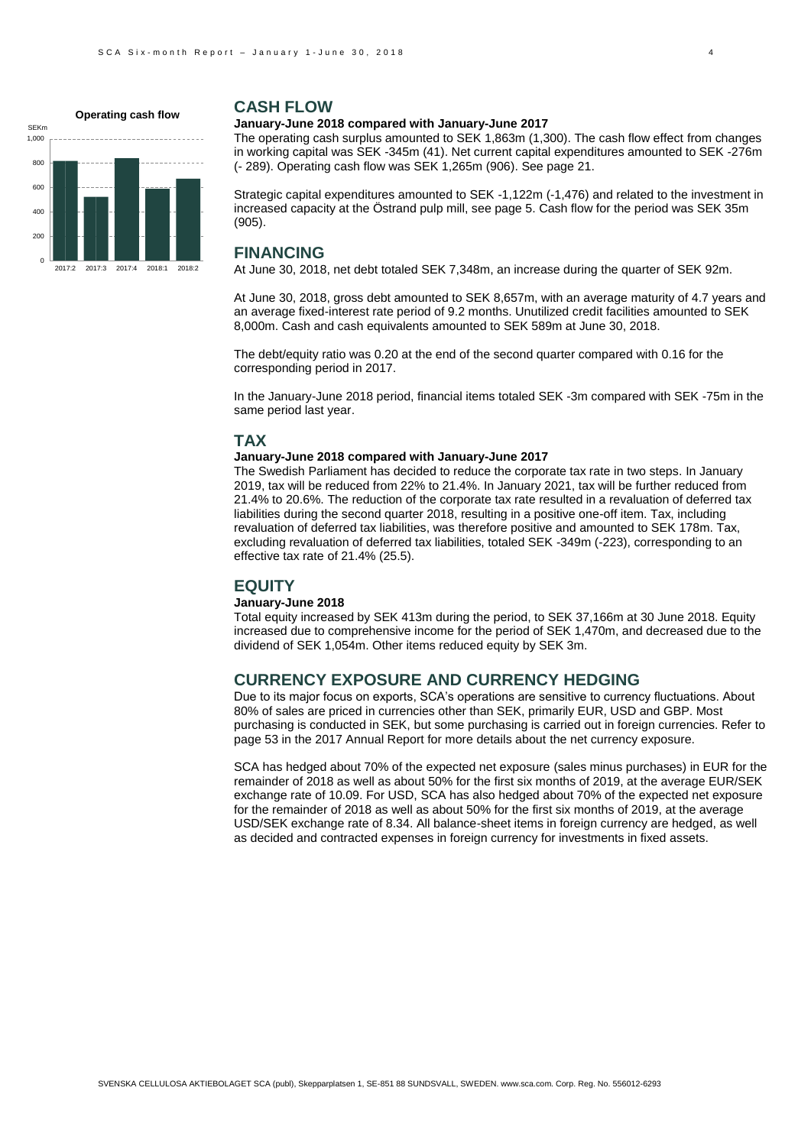

2017:2 2017:3 2017:4 2018:1 2018:2

0

### **CASH FLOW**

#### **January-June 2018 compared with January-June 2017**

The operating cash surplus amounted to SEK 1,863m (1,300). The cash flow effect from changes in working capital was SEK -345m (41). Net current capital expenditures amounted to SEK -276m (- 289). Operating cash flow was SEK 1,265m (906). See page 21.

Strategic capital expenditures amounted to SEK -1,122m (-1,476) and related to the investment in increased capacity at the Östrand pulp mill, see page 5. Cash flow for the period was SEK 35m (905).

# **FINANCING**

At June 30, 2018, net debt totaled SEK 7,348m, an increase during the quarter of SEK 92m.

At June 30, 2018, gross debt amounted to SEK 8,657m, with an average maturity of 4.7 years and an average fixed-interest rate period of 9.2 months. Unutilized credit facilities amounted to SEK 8,000m. Cash and cash equivalents amounted to SEK 589m at June 30, 2018.

The debt/equity ratio was 0.20 at the end of the second quarter compared with 0.16 for the corresponding period in 2017.

In the January-June 2018 period, financial items totaled SEK -3m compared with SEK -75m in the same period last year.

### **TAX**

#### **January-June 2018 compared with January-June 2017**

The Swedish Parliament has decided to reduce the corporate tax rate in two steps. In January 2019, tax will be reduced from 22% to 21.4%. In January 2021, tax will be further reduced from 21.4% to 20.6%. The reduction of the corporate tax rate resulted in a revaluation of deferred tax liabilities during the second quarter 2018, resulting in a positive one-off item. Tax, including revaluation of deferred tax liabilities, was therefore positive and amounted to SEK 178m. Tax, excluding revaluation of deferred tax liabilities, totaled SEK -349m (-223), corresponding to an effective tax rate of 21.4% (25.5).

### **EQUITY**

#### **January-June 2018**

Total equity increased by SEK 413m during the period, to SEK 37,166m at 30 June 2018. Equity increased due to comprehensive income for the period of SEK 1,470m, and decreased due to the dividend of SEK 1,054m. Other items reduced equity by SEK 3m.

### **CURRENCY EXPOSURE AND CURRENCY HEDGING**

Due to its major focus on exports, SCA's operations are sensitive to currency fluctuations. About 80% of sales are priced in currencies other than SEK, primarily EUR, USD and GBP. Most purchasing is conducted in SEK, but some purchasing is carried out in foreign currencies. Refer to page 53 in the 2017 Annual Report for more details about the net currency exposure.

SCA has hedged about 70% of the expected net exposure (sales minus purchases) in EUR for the remainder of 2018 as well as about 50% for the first six months of 2019, at the average EUR/SEK exchange rate of 10.09. For USD, SCA has also hedged about 70% of the expected net exposure for the remainder of 2018 as well as about 50% for the first six months of 2019, at the average USD/SEK exchange rate of 8.34. All balance-sheet items in foreign currency are hedged, as well as decided and contracted expenses in foreign currency for investments in fixed assets.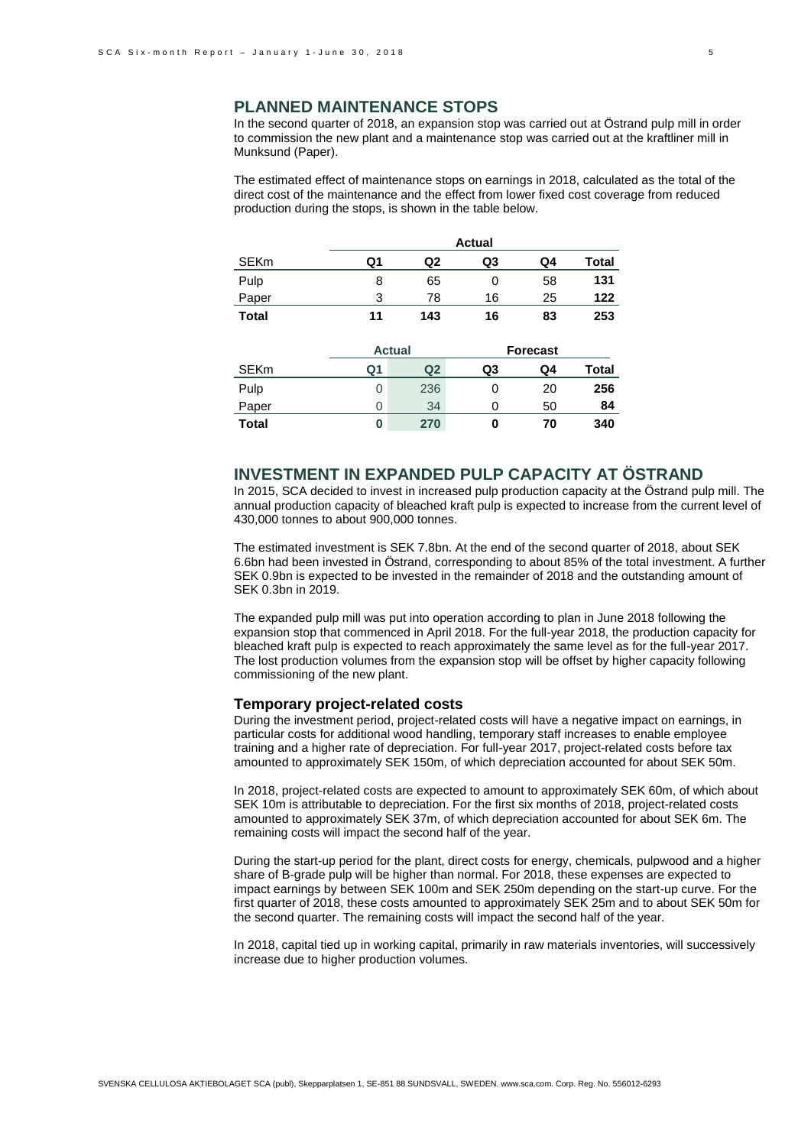In the second quarter of 2018, an expansion stop was carried out at Östrand pulp mill in order to commission the new plant and a maintenance stop was carried out at the kraftliner mill in Munksund (Paper).

The estimated effect of maintenance stops on earnings in 2018, calculated as the total of the direct cost of the maintenance and the effect from lower fixed cost coverage from reduced production during the stops, is shown in the table below.

|             |    |     | <b>Actual</b> |    |       |
|-------------|----|-----|---------------|----|-------|
| <b>SEKm</b> | Q1 | Q2  | Q3            | Q4 | Total |
| Pulp        | 8  | 65  |               | 58 | 131   |
| Paper       | 3  | 78  | 16            | 25 | 122   |
| Total       | 11 | 143 | 16            | 83 | 253   |

|             |                | <b>Actual</b>  |    | <b>Forecast</b> |       |  |  |  |  |
|-------------|----------------|----------------|----|-----------------|-------|--|--|--|--|
| <b>SEKm</b> | Q <sub>1</sub> | Q <sub>2</sub> | Q3 | Q4              | Total |  |  |  |  |
| Pulp        | 0              | 236            |    | 20              | 256   |  |  |  |  |
| Paper       | 0              | 34             |    | 50              | 84    |  |  |  |  |
| Total       | 0              | 270            |    | 70              | 340   |  |  |  |  |

# **INVESTMENT IN EXPANDED PULP CAPACITY AT ÖSTRAND**

In 2015, SCA decided to invest in increased pulp production capacity at the Östrand pulp mill. The annual production capacity of bleached kraft pulp is expected to increase from the current level of 430,000 tonnes to about 900,000 tonnes.

The estimated investment is SEK 7.8bn. At the end of the second quarter of 2018, about SEK 6.6bn had been invested in Östrand, corresponding to about 85% of the total investment. A further SEK 0.9bn is expected to be invested in the remainder of 2018 and the outstanding amount of SEK 0.3bn in 2019.

The expanded pulp mill was put into operation according to plan in June 2018 following the expansion stop that commenced in April 2018. For the full-year 2018, the production capacity for bleached kraft pulp is expected to reach approximately the same level as for the full-year 2017. The lost production volumes from the expansion stop will be offset by higher capacity following commissioning of the new plant.

#### **Temporary project-related costs**

During the investment period, project-related costs will have a negative impact on earnings, in particular costs for additional wood handling, temporary staff increases to enable employee training and a higher rate of depreciation. For full-year 2017, project-related costs before tax amounted to approximately SEK 150m, of which depreciation accounted for about SEK 50m.

In 2018, project-related costs are expected to amount to approximately SEK 60m, of which about SEK 10m is attributable to depreciation. For the first six months of 2018, project-related costs amounted to approximately SEK 37m, of which depreciation accounted for about SEK 6m. The remaining costs will impact the second half of the year.

During the start-up period for the plant, direct costs for energy, chemicals, pulpwood and a higher share of B-grade pulp will be higher than normal. For 2018, these expenses are expected to impact earnings by between SEK 100m and SEK 250m depending on the start-up curve. For the first quarter of 2018, these costs amounted to approximately SEK 25m and to about SEK 50m for the second quarter. The remaining costs will impact the second half of the year.

In 2018, capital tied up in working capital, primarily in raw materials inventories, will successively increase due to higher production volumes.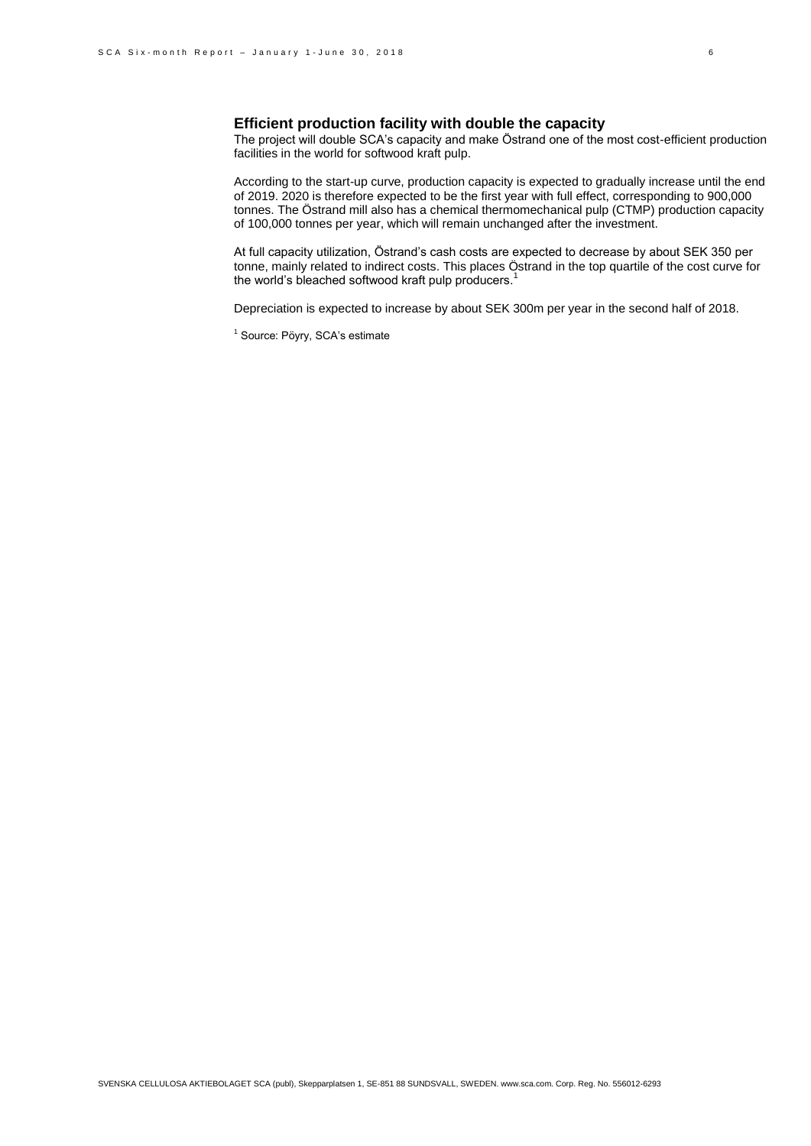### **Efficient production facility with double the capacity**

The project will double SCA's capacity and make Östrand one of the most cost-efficient production facilities in the world for softwood kraft pulp.

According to the start-up curve, production capacity is expected to gradually increase until the end of 2019. 2020 is therefore expected to be the first year with full effect, corresponding to 900,000 tonnes. The Östrand mill also has a chemical thermomechanical pulp (CTMP) production capacity of 100,000 tonnes per year, which will remain unchanged after the investment.

At full capacity utilization, Östrand's cash costs are expected to decrease by about SEK 350 per tonne, mainly related to indirect costs. This places Östrand in the top quartile of the cost curve for the world's bleached softwood kraft pulp producers.<sup>1</sup>

Depreciation is expected to increase by about SEK 300m per year in the second half of 2018.

<sup>1</sup> Source: Pöyry, SCA's estimate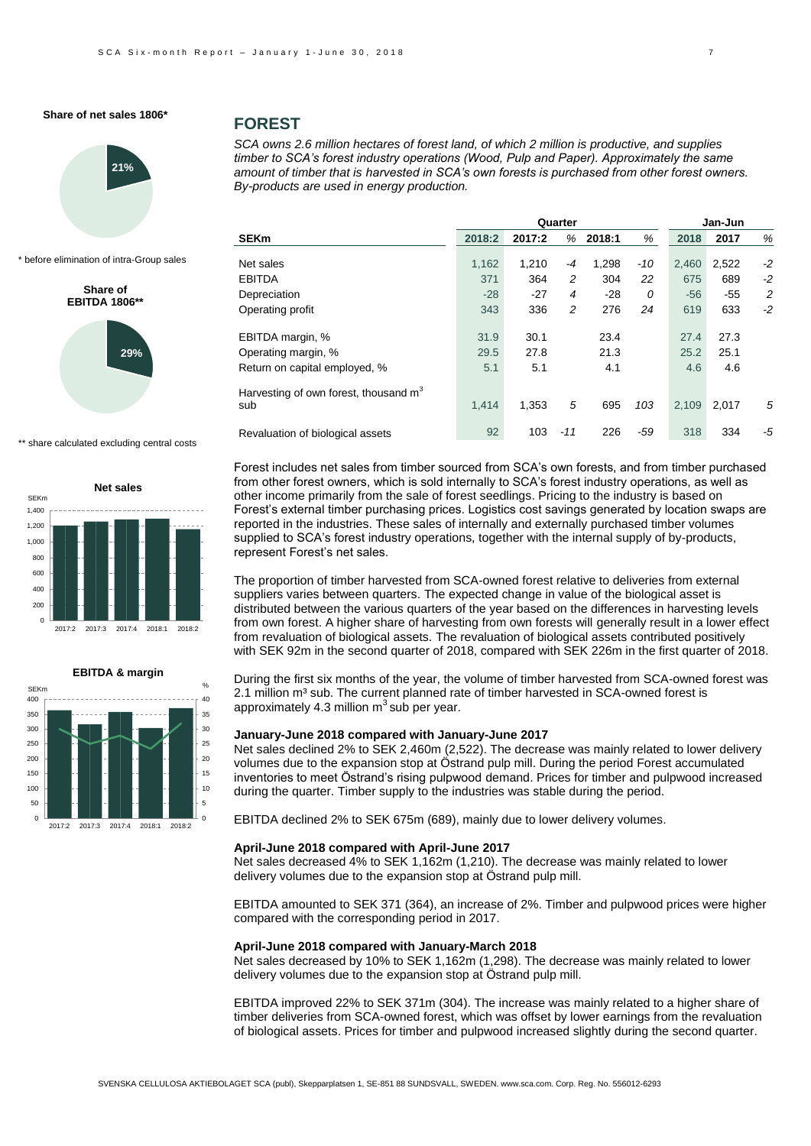

before elimination of intra-Group sales

**Share of EBITDA 1806\*\*** 



\*\* share calculated excluding central costs





### **FOREST**

*SCA owns 2.6 million hectares of forest land, of which 2 million is productive, and supplies timber to SCA's forest industry operations (Wood, Pulp and Paper). Approximately the same amount of timber that is harvested in SCA's own forests is purchased from other forest owners. By-products are used in energy production.*

|                                                          |        | Jan-Jun |       |        |       |       |       |      |
|----------------------------------------------------------|--------|---------|-------|--------|-------|-------|-------|------|
| <b>SEKm</b>                                              | 2018:2 | 2017:2  | %     | 2018:1 | %     | 2018  | 2017  | %    |
| Net sales                                                | 1,162  | 1,210   | -4    | 1,298  | -10   | 2,460 | 2,522 | $-2$ |
| <b>EBITDA</b>                                            | 371    | 364     | 2     | 304    | 22    | 675   | 689   | $-2$ |
| Depreciation                                             | $-28$  | $-27$   | 4     | $-28$  | 0     | $-56$ | $-55$ | 2    |
| Operating profit                                         | 343    | 336     | 2     | 276    | 24    | 619   | 633   | $-2$ |
| EBITDA margin, %                                         | 31.9   | 30.1    |       | 23.4   |       | 27.4  | 27.3  |      |
| Operating margin, %                                      | 29.5   | 27.8    |       | 21.3   |       | 25.2  | 25.1  |      |
| Return on capital employed, %                            | 5.1    | 5.1     |       | 4.1    |       | 4.6   | 4.6   |      |
| Harvesting of own forest, thousand m <sup>3</sup><br>sub | 1,414  | 1.353   | 5     | 695    | 103   | 2,109 | 2,017 | 5    |
| Revaluation of biological assets                         | 92     | 103     | $-11$ | 226    | $-59$ | 318   | 334   | -5   |

Forest includes net sales from timber sourced from SCA's own forests, and from timber purchased from other forest owners, which is sold internally to SCA's forest industry operations, as well as other income primarily from the sale of forest seedlings. Pricing to the industry is based on Forest's external timber purchasing prices. Logistics cost savings generated by location swaps are reported in the industries. These sales of internally and externally purchased timber volumes supplied to SCA's forest industry operations, together with the internal supply of by-products, represent Forest's net sales.

The proportion of timber harvested from SCA-owned forest relative to deliveries from external suppliers varies between quarters. The expected change in value of the biological asset is distributed between the various quarters of the year based on the differences in harvesting levels from own forest. A higher share of harvesting from own forests will generally result in a lower effect from revaluation of biological assets. The revaluation of biological assets contributed positively with SEK 92m in the second quarter of 2018, compared with SEK 226m in the first quarter of 2018.

During the first six months of the year, the volume of timber harvested from SCA-owned forest was 2.1 million  $m<sup>3</sup>$  sub. The current planned rate of timber harvested in SCA-owned forest is approximately 4.3 million  $m<sup>3</sup>$  sub per year.

#### **January-June 2018 compared with January-June 2017**

Net sales declined 2% to SEK 2,460m (2,522). The decrease was mainly related to lower delivery volumes due to the expansion stop at Östrand pulp mill. During the period Forest accumulated inventories to meet Östrand's rising pulpwood demand. Prices for timber and pulpwood increased during the quarter. Timber supply to the industries was stable during the period.

EBITDA declined 2% to SEK 675m (689), mainly due to lower delivery volumes.

#### **April-June 2018 compared with April-June 2017**

Net sales decreased 4% to SEK 1,162m (1,210). The decrease was mainly related to lower delivery volumes due to the expansion stop at Östrand pulp mill.

EBITDA amounted to SEK 371 (364), an increase of 2%. Timber and pulpwood prices were higher compared with the corresponding period in 2017.

#### **April-June 2018 compared with January-March 2018**

Net sales decreased by 10% to SEK 1,162m (1,298). The decrease was mainly related to lower delivery volumes due to the expansion stop at Östrand pulp mill.

EBITDA improved 22% to SEK 371m (304). The increase was mainly related to a higher share of timber deliveries from SCA-owned forest, which was offset by lower earnings from the revaluation of biological assets. Prices for timber and pulpwood increased slightly during the second quarter.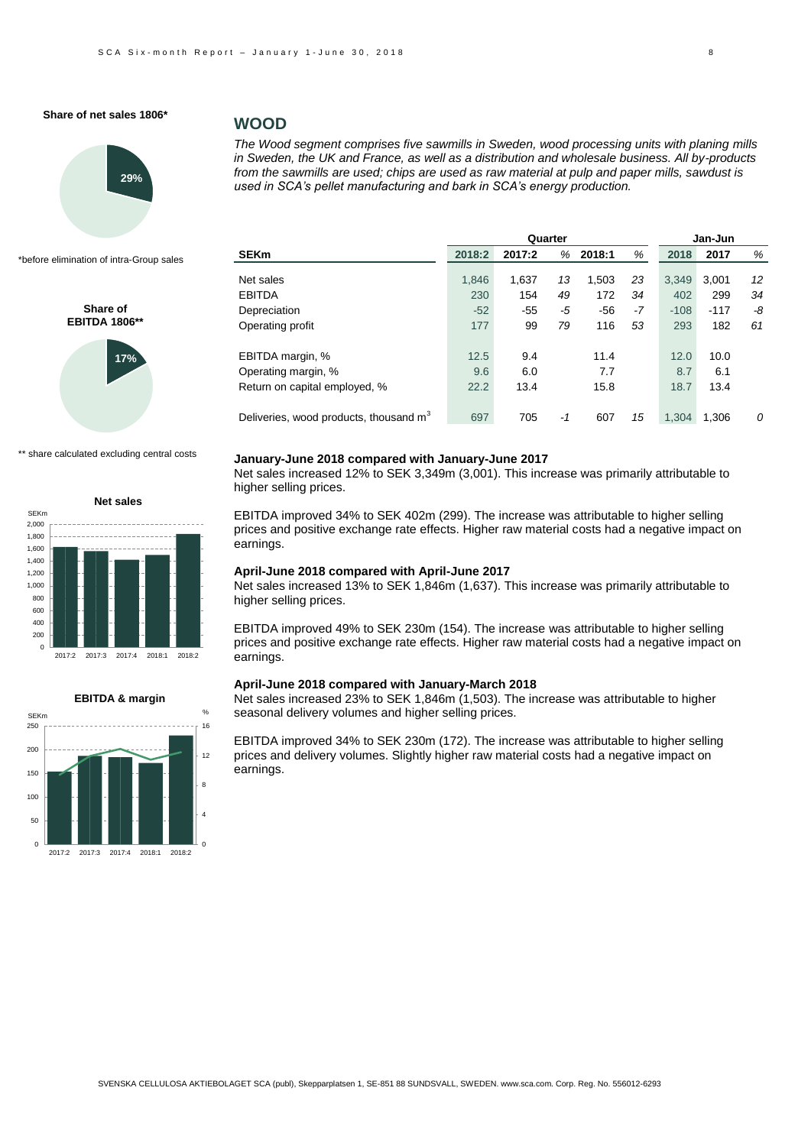

\*before elimination of intra-Group sales

**Share of EBITDA 1806\*\***



\*\* share calculated excluding central costs





### **WOOD**

*The Wood segment comprises five sawmills in Sweden, wood processing units with planing mills in Sweden, the UK and France, as well as a distribution and wholesale business. All by-products from the sawmills are used; chips are used as raw material at pulp and paper mills, sawdust is used in SCA's pellet manufacturing and bark in SCA's energy production.* 

| 2018:2 | 2017:2 | %     | 2018:1        | %     | 2018   | 2017   | %                |
|--------|--------|-------|---------------|-------|--------|--------|------------------|
|        |        |       |               |       |        |        |                  |
|        |        |       |               |       |        |        | 12               |
| 230    | 154    | 49    | 172           | 34    | 402    | 299    | 34               |
| $-52$  | $-55$  | -5    | $-56$         | -7    | $-108$ | $-117$ | -8               |
| 177    | 99     | 79    | 116           | 53    | 293    | 182    | 61               |
| 12.5   | 9.4    |       | 11.4          |       | 12.0   | 10.0   |                  |
| 9.6    | 6.0    |       | 7.7           |       | 8.7    | 6.1    |                  |
| 22.2   | 13.4   |       | 15.8          |       | 18.7   | 13.4   |                  |
| 697    | 705    | -1    | 607           | 15    | 1.304  | 1,306  | 0                |
|        | 1,846  | 1,637 | Quarter<br>13 | 1,503 | 23     | 3.349  | Jan-Jun<br>3,001 |

#### **January-June 2018 compared with January-June 2017**

Net sales increased 12% to SEK 3,349m (3,001). This increase was primarily attributable to higher selling prices.

EBITDA improved 34% to SEK 402m (299). The increase was attributable to higher selling prices and positive exchange rate effects. Higher raw material costs had a negative impact on earnings.

#### **April-June 2018 compared with April-June 2017**

Net sales increased 13% to SEK 1,846m (1,637). This increase was primarily attributable to higher selling prices.

EBITDA improved 49% to SEK 230m (154). The increase was attributable to higher selling prices and positive exchange rate effects. Higher raw material costs had a negative impact on earnings.

#### **April-June 2018 compared with January-March 2018**

Net sales increased 23% to SEK 1,846m (1,503). The increase was attributable to higher seasonal delivery volumes and higher selling prices.

EBITDA improved 34% to SEK 230m (172). The increase was attributable to higher selling prices and delivery volumes. Slightly higher raw material costs had a negative impact on earnings.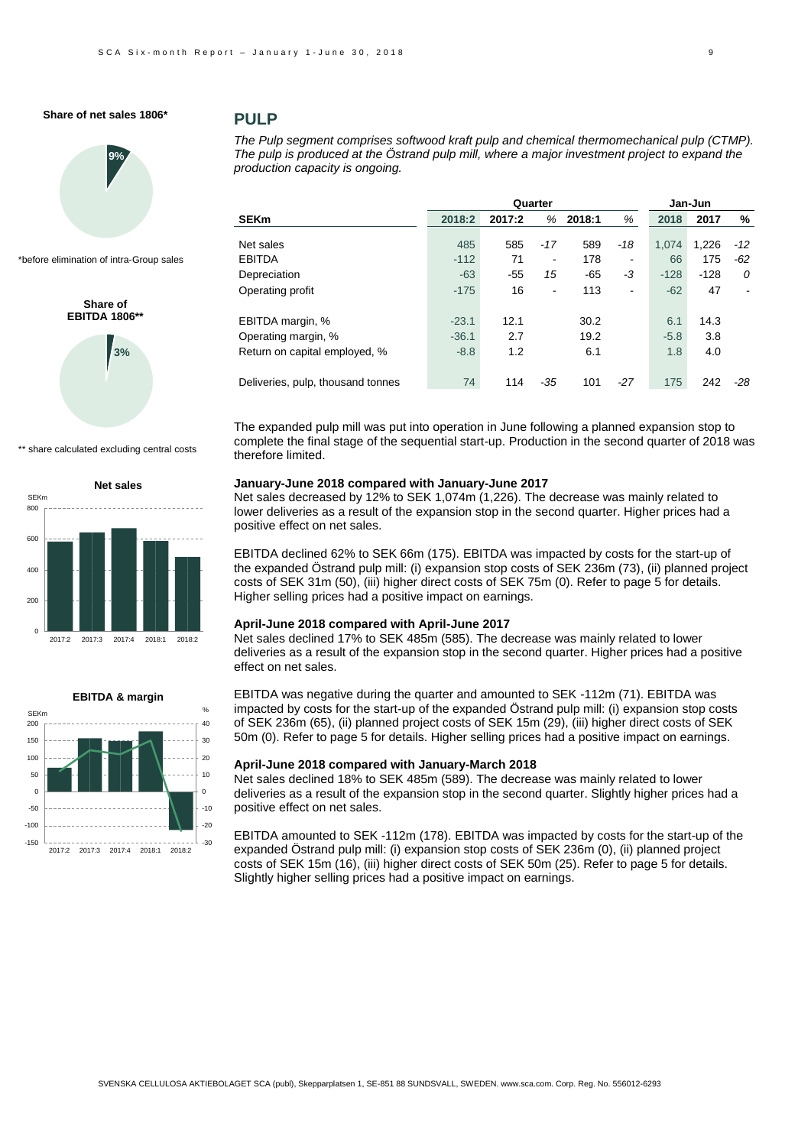

\*before elimination of intra-Group sales

# **3% Share of EBITDA 1806\*\***

\*\* share calculated excluding central costs

 $\overline{0}$ 200 400 600 800 2017:2 2017:3 2017:4 2018:1 2018:2 **Net sales** SEKm



### **PULP**

*The Pulp segment comprises softwood kraft pulp and chemical thermomechanical pulp (CTMP). The pulp is produced at the Östrand pulp mill, where a major investment project to expand the production capacity is ongoing.*

|                                   | Quarter |        |                              |        |                              | Jan-Jun |        |       |  |
|-----------------------------------|---------|--------|------------------------------|--------|------------------------------|---------|--------|-------|--|
| <b>SEKm</b>                       | 2018:2  | 2017:2 | %                            | 2018:1 | %                            | 2018    | 2017   | %     |  |
|                                   |         |        |                              |        |                              |         |        |       |  |
| Net sales                         | 485     | 585    | $-17$                        | 589    | $-18$                        | 1.074   | 1.226  | $-12$ |  |
| <b>EBITDA</b>                     | $-112$  | 71     | $\qquad \qquad \blacksquare$ | 178    | $\qquad \qquad \blacksquare$ | 66      | 175    | -62   |  |
| Depreciation                      | $-63$   | $-55$  | 15                           | $-65$  | -3                           | $-128$  | $-128$ | 0     |  |
| Operating profit                  | $-175$  | 16     | $\overline{a}$               | 113    | $\qquad \qquad \blacksquare$ | $-62$   | 47     |       |  |
| EBITDA margin, %                  | $-23.1$ | 12.1   |                              | 30.2   |                              | 6.1     | 14.3   |       |  |
| Operating margin, %               | $-36.1$ | 2.7    |                              | 19.2   |                              | $-5.8$  | 3.8    |       |  |
| Return on capital employed, %     | $-8.8$  | 1.2    |                              | 6.1    |                              | 1.8     | 4.0    |       |  |
| Deliveries, pulp, thousand tonnes | 74      | 114    | $-35$                        | 101    | $-27$                        | 175     | 242    | -28   |  |

The expanded pulp mill was put into operation in June following a planned expansion stop to complete the final stage of the sequential start-up. Production in the second quarter of 2018 was therefore limited.

#### **January-June 2018 compared with January-June 2017**

Net sales decreased by 12% to SEK 1,074m (1,226). The decrease was mainly related to lower deliveries as a result of the expansion stop in the second quarter. Higher prices had a positive effect on net sales.

EBITDA declined 62% to SEK 66m (175). EBITDA was impacted by costs for the start-up of the expanded Östrand pulp mill: (i) expansion stop costs of SEK 236m (73), (ii) planned project costs of SEK 31m (50), (iii) higher direct costs of SEK 75m (0). Refer to page 5 for details. Higher selling prices had a positive impact on earnings.

#### **April-June 2018 compared with April-June 2017**

Net sales declined 17% to SEK 485m (585). The decrease was mainly related to lower deliveries as a result of the expansion stop in the second quarter. Higher prices had a positive effect on net sales.

EBITDA was negative during the quarter and amounted to SEK -112m (71). EBITDA was impacted by costs for the start-up of the expanded Östrand pulp mill: (i) expansion stop costs of SEK 236m (65), (ii) planned project costs of SEK 15m (29), (iii) higher direct costs of SEK 50m (0). Refer to page 5 for details. Higher selling prices had a positive impact on earnings.

### **April-June 2018 compared with January-March 2018**

Net sales declined 18% to SEK 485m (589). The decrease was mainly related to lower deliveries as a result of the expansion stop in the second quarter. Slightly higher prices had a positive effect on net sales.

EBITDA amounted to SEK -112m (178). EBITDA was impacted by costs for the start-up of the expanded Östrand pulp mill: (i) expansion stop costs of SEK 236m (0), (ii) planned project costs of SEK 15m (16), (iii) higher direct costs of SEK 50m (25). Refer to page 5 for details. Slightly higher selling prices had a positive impact on earnings.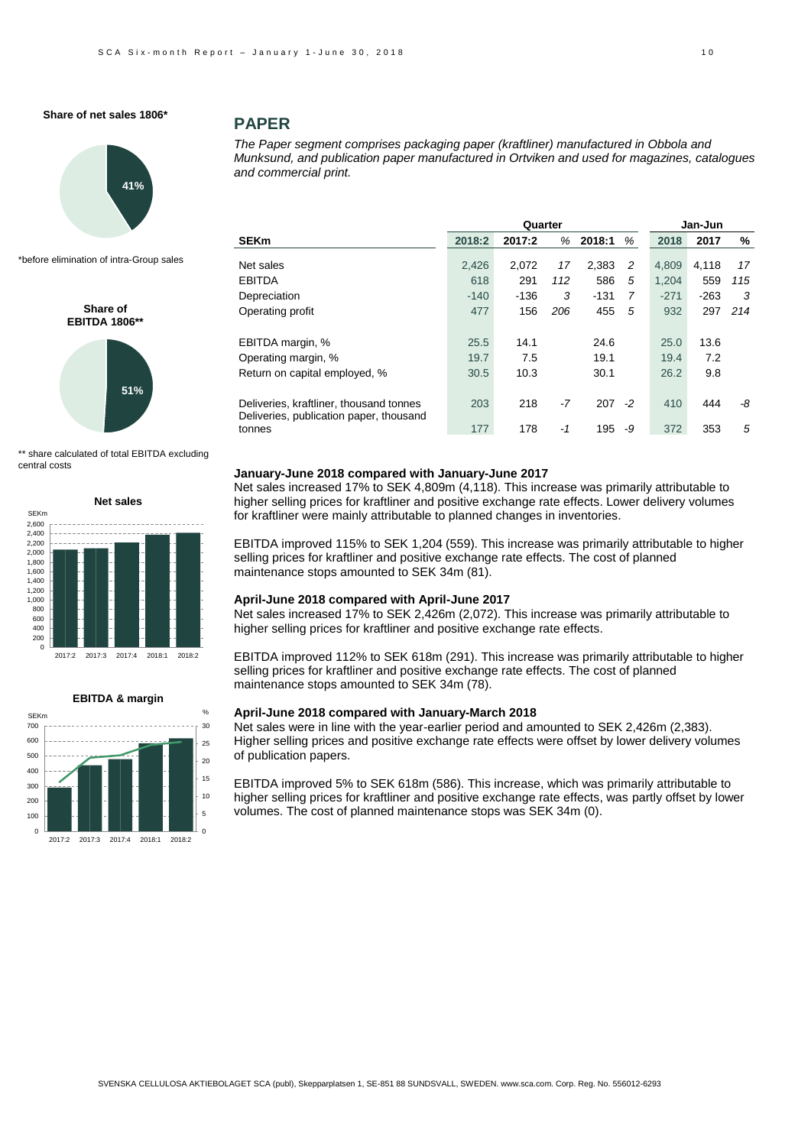

\*before elimination of intra-Group sales

**Share of EBITDA 1806\*\*** 



\*\* share calculated of total EBITDA excluding central costs





# **PAPER**

*The Paper segment comprises packaging paper (kraftliner) manufactured in Obbola and Munksund, and publication paper manufactured in Ortviken and used for magazines, catalogues and commercial print.*

|                                                                                    |        | Quarter |      | Jan-Jun   |    |        |        |     |
|------------------------------------------------------------------------------------|--------|---------|------|-----------|----|--------|--------|-----|
| <b>SEKm</b>                                                                        | 2018:2 | 2017:2  | %    | 2018:1    | %  | 2018   | 2017   | %   |
| Net sales                                                                          | 2,426  | 2,072   | 17   | 2,383     | 2  | 4.809  | 4,118  | 17  |
| <b>EBITDA</b>                                                                      | 618    | 291     | 112  | 586       | 5  | 1.204  | 559    | 115 |
| Depreciation                                                                       | $-140$ | $-136$  | 3    | $-131$    | 7  | $-271$ | $-263$ | 3   |
| Operating profit                                                                   | 477    | 156     | 206  | 455       | 5  | 932    | 297    | 214 |
| EBITDA margin, %                                                                   | 25.5   | 14.1    |      | 24.6      |    | 25.0   | 13.6   |     |
| Operating margin, %                                                                | 19.7   | 7.5     |      | 19.1      |    | 19.4   | 7.2    |     |
| Return on capital employed, %                                                      | 30.5   | 10.3    |      | 30.1      |    | 26.2   | 9.8    |     |
| Deliveries, kraftliner, thousand tonnes<br>Deliveries, publication paper, thousand | 203    | 218     | $-7$ | $207 - 2$ |    | 410    | 444    | -8  |
| tonnes                                                                             | 177    | 178     | $-1$ | 195       | -9 | 372    | 353    | 5   |

#### **January-June 2018 compared with January-June 2017**

Net sales increased 17% to SEK 4,809m (4,118). This increase was primarily attributable to higher selling prices for kraftliner and positive exchange rate effects. Lower delivery volumes for kraftliner were mainly attributable to planned changes in inventories.

EBITDA improved 115% to SEK 1,204 (559). This increase was primarily attributable to higher selling prices for kraftliner and positive exchange rate effects. The cost of planned maintenance stops amounted to SEK 34m (81).

#### **April-June 2018 compared with April-June 2017**

Net sales increased 17% to SEK 2,426m (2,072). This increase was primarily attributable to higher selling prices for kraftliner and positive exchange rate effects.

EBITDA improved 112% to SEK 618m (291). This increase was primarily attributable to higher selling prices for kraftliner and positive exchange rate effects. The cost of planned maintenance stops amounted to SEK 34m (78).

#### **April-June 2018 compared with January-March 2018**

Net sales were in line with the year-earlier period and amounted to SEK 2,426m (2,383). Higher selling prices and positive exchange rate effects were offset by lower delivery volumes of publication papers.

EBITDA improved 5% to SEK 618m (586). This increase, which was primarily attributable to higher selling prices for kraftliner and positive exchange rate effects, was partly offset by lower volumes. The cost of planned maintenance stops was SEK 34m (0).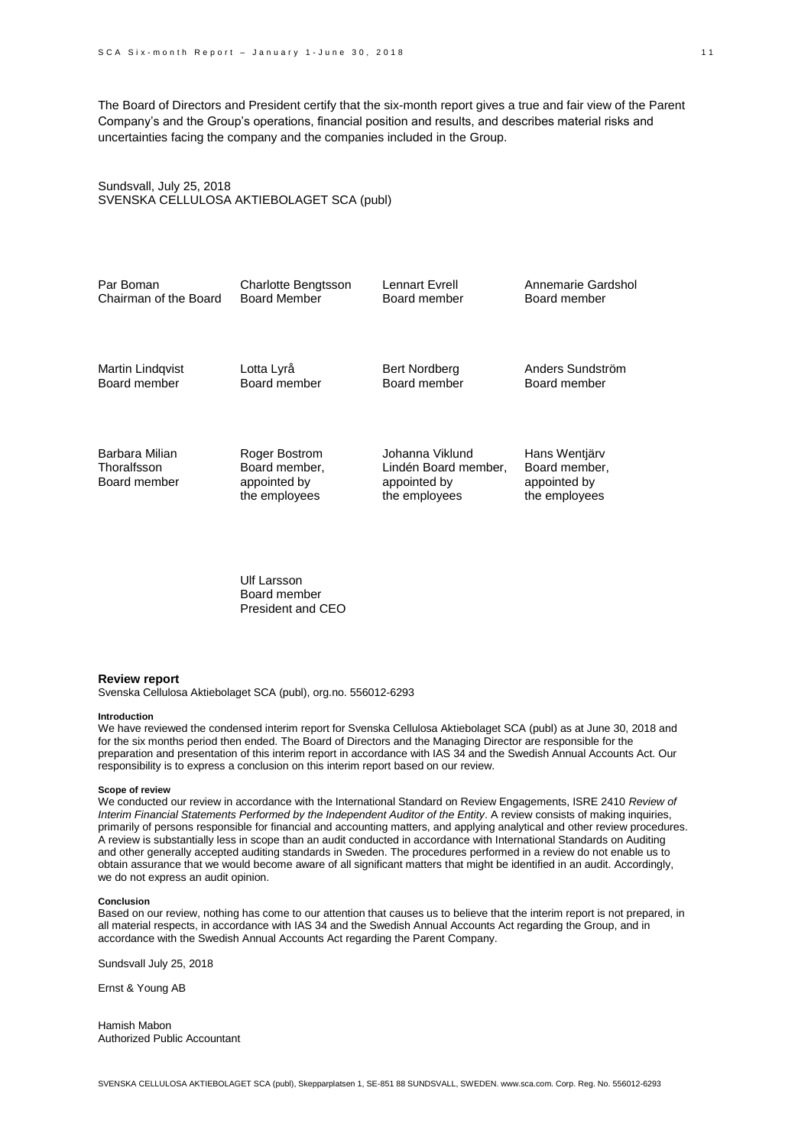The Board of Directors and President certify that the six-month report gives a true and fair view of the Parent Company's and the Group's operations, financial position and results, and describes material risks and uncertainties facing the company and the companies included in the Group.

### Sundsvall, July 25, 2018 SVENSKA CELLULOSA AKTIEBOLAGET SCA (publ)

| Par Boman                                     | <b>Charlotte Bengtsson</b>                                      | Lennart Evrell                                                           | Annemarie Gardshol                                              |
|-----------------------------------------------|-----------------------------------------------------------------|--------------------------------------------------------------------------|-----------------------------------------------------------------|
| Chairman of the Board                         | <b>Board Member</b>                                             | Board member                                                             | Board member                                                    |
| Martin Lindqvist                              | Lotta Lyrå                                                      | <b>Bert Nordberg</b>                                                     | Anders Sundström                                                |
| Board member                                  | Board member                                                    | Board member                                                             | Board member                                                    |
| Barbara Milian<br>Thoralfsson<br>Board member | Roger Bostrom<br>Board member,<br>appointed by<br>the employees | Johanna Viklund<br>Lindén Board member,<br>appointed by<br>the employees | Hans Wentjärv<br>Board member,<br>appointed by<br>the employees |

Ulf Larsson Board member President and CEO

#### **Review report**

Svenska Cellulosa Aktiebolaget SCA (publ), org.no. 556012-6293

#### **Introduction**

We have reviewed the condensed interim report for Svenska Cellulosa Aktiebolaget SCA (publ) as at June 30, 2018 and for the six months period then ended. The Board of Directors and the Managing Director are responsible for the preparation and presentation of this interim report in accordance with IAS 34 and the Swedish Annual Accounts Act. Our responsibility is to express a conclusion on this interim report based on our review.

#### **Scope of review**

We conducted our review in accordance with the International Standard on Review Engagements, ISRE 2410 *Review of Interim Financial Statements Performed by the Independent Auditor of the Entity*. A review consists of making inquiries, primarily of persons responsible for financial and accounting matters, and applying analytical and other review procedures. A review is substantially less in scope than an audit conducted in accordance with International Standards on Auditing and other generally accepted auditing standards in Sweden. The procedures performed in a review do not enable us to obtain assurance that we would become aware of all significant matters that might be identified in an audit. Accordingly, we do not express an audit opinion.

#### **Conclusion**

Based on our review, nothing has come to our attention that causes us to believe that the interim report is not prepared, in all material respects, in accordance with IAS 34 and the Swedish Annual Accounts Act regarding the Group, and in accordance with the Swedish Annual Accounts Act regarding the Parent Company.

Sundsvall July 25, 2018

Ernst & Young AB

Hamish Mabon Authorized Public Accountant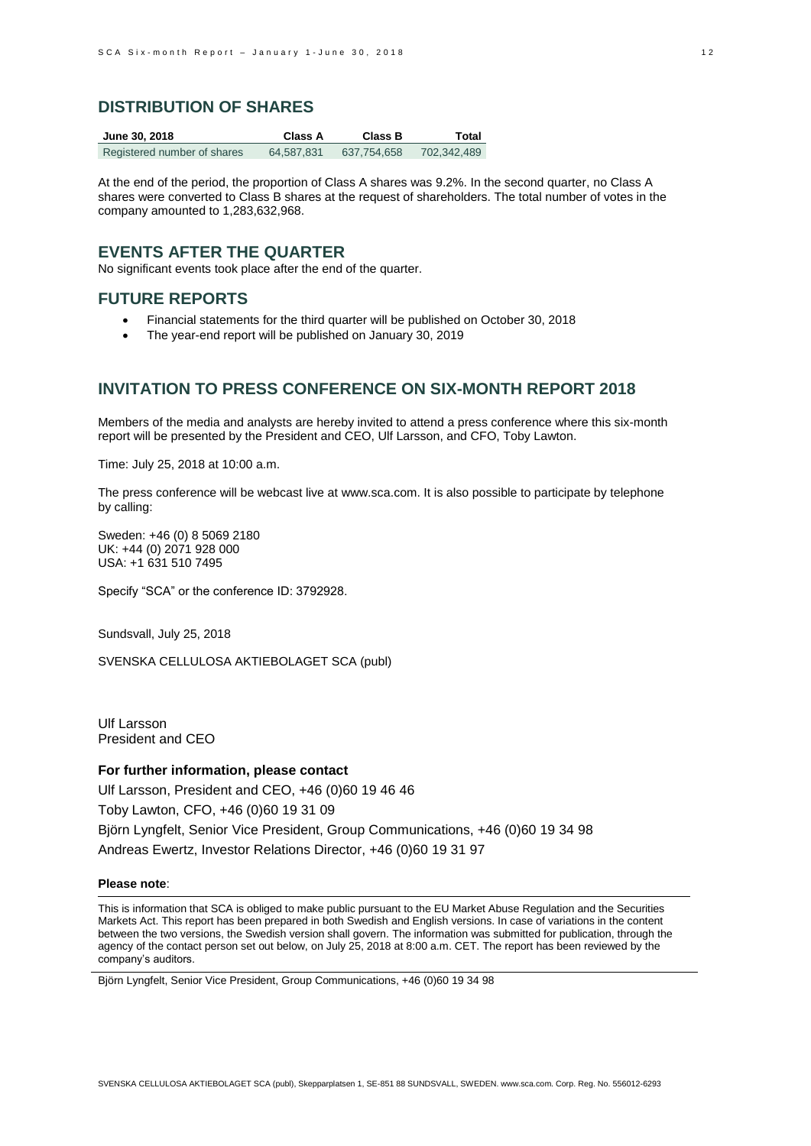### **DISTRIBUTION OF SHARES**

| June 30, 2018               | Class A    | Class B     | Total       |
|-----------------------------|------------|-------------|-------------|
| Registered number of shares | 64.587.831 | 637.754.658 | 702.342.489 |

At the end of the period, the proportion of Class A shares was 9.2%. In the second quarter, no Class A shares were converted to Class B shares at the request of shareholders. The total number of votes in the company amounted to 1,283,632,968.

### **EVENTS AFTER THE QUARTER**

No significant events took place after the end of the quarter.

## **FUTURE REPORTS**

- Financial statements for the third quarter will be published on October 30, 2018
- The year-end report will be published on January 30, 2019

# **INVITATION TO PRESS CONFERENCE ON SIX-MONTH REPORT 2018**

Members of the media and analysts are hereby invited to attend a press conference where this six-month report will be presented by the President and CEO, Ulf Larsson, and CFO, Toby Lawton.

Time: July 25, 2018 at 10:00 a.m.

The press conference will be webcast live a[t www.sca.com.](http://www.sca.com/) It is also possible to participate by telephone by calling:

Sweden: +46 (0) 8 5069 2180 UK: +44 (0) 2071 928 000 USA: +1 631 510 7495

Specify "SCA" or the conference ID: 3792928.

Sundsvall, July 25, 2018

SVENSKA CELLULOSA AKTIEBOLAGET SCA (publ)

Ulf Larsson President and CEO

#### **For further information, please contact**

Ulf Larsson, President and CEO, +46 (0)60 19 46 46 Toby Lawton, CFO, +46 (0)60 19 31 09 Björn Lyngfelt, Senior Vice President, Group Communications, +46 (0)60 19 34 98 Andreas Ewertz, Investor Relations Director, +46 (0)60 19 31 97

#### **Please note**:

This is information that SCA is obliged to make public pursuant to the EU Market Abuse Regulation and the Securities Markets Act. This report has been prepared in both Swedish and English versions. In case of variations in the content between the two versions, the Swedish version shall govern. The information was submitted for publication, through the agency of the contact person set out below, on July 25, 2018 at 8:00 a.m. CET. The report has been reviewed by the company's auditors.

Björn Lyngfelt, Senior Vice President, Group Communications, +46 (0)60 19 34 98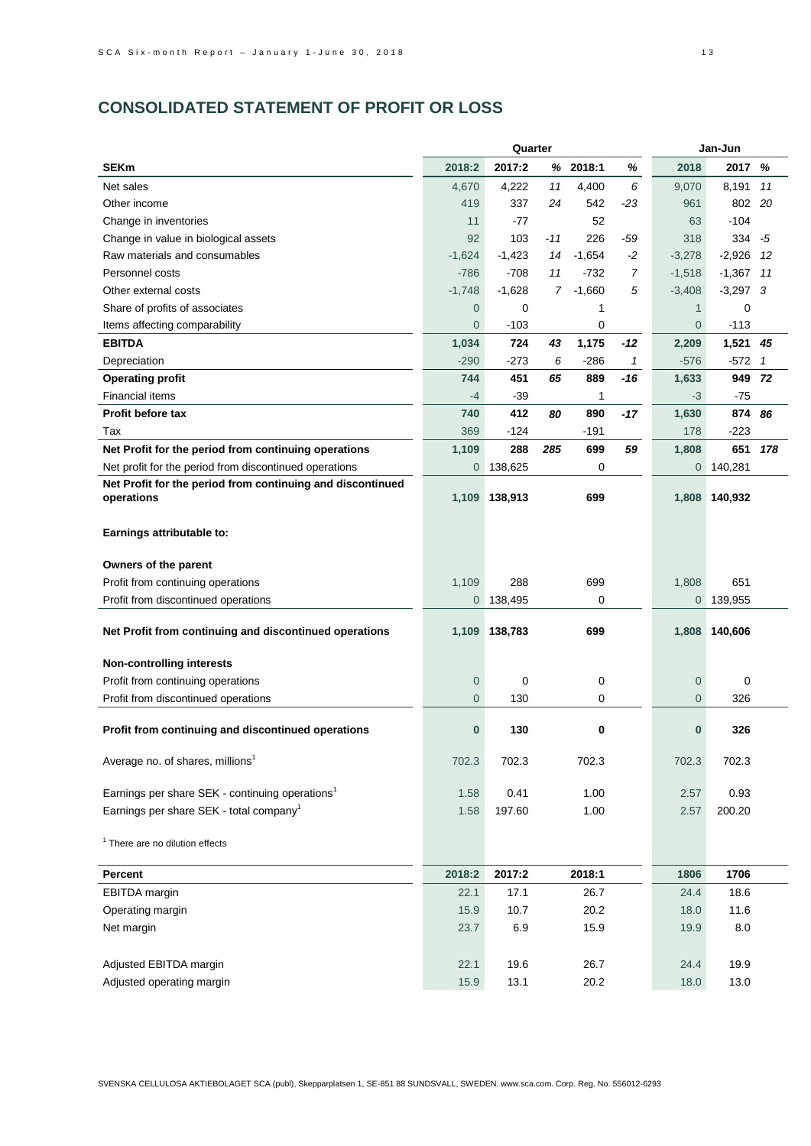# **CONSOLIDATED STATEMENT OF PROFIT OR LOSS**

|                                                             | Quarter        |          |                |          |       | Jan-Jun        |             |                |  |
|-------------------------------------------------------------|----------------|----------|----------------|----------|-------|----------------|-------------|----------------|--|
| <b>SEKm</b>                                                 | 2018:2         | 2017:2   |                | % 2018:1 | ℅     | 2018           | 2017        | %              |  |
| Net sales                                                   | 4.670          | 4,222    | 11             | 4,400    | 6     | 9,070          | 8,191       | 11             |  |
| Other income                                                | 419            | 337      | 24             | 542      | $-23$ | 961            | 802         | 20             |  |
| Change in inventories                                       | 11             | $-77$    |                | 52       |       | 63             | $-104$      |                |  |
| Change in value in biological assets                        | 92             | 103      | $-11$          | 226      | -59   | 318            | 334         | -5             |  |
| Raw materials and consumables                               | $-1,624$       | $-1,423$ | 14             | $-1,654$ | $-2$  | $-3,278$       | $-2,926$    | 12             |  |
| Personnel costs                                             | $-786$         | $-708$   | 11             | $-732$   | 7     | $-1,518$       | $-1,367$    | 11             |  |
| Other external costs                                        | $-1,748$       | $-1,628$ | $\overline{7}$ | $-1,660$ | 5     | $-3,408$       | $-3,297$ 3  |                |  |
| Share of profits of associates                              | 0              | 0        |                | 1        |       | $\mathbf{1}$   | $\mathbf 0$ |                |  |
| Items affecting comparability                               | 0              | $-103$   |                | 0        |       | $\overline{0}$ | $-113$      |                |  |
| <b>EBITDA</b>                                               | 1,034          | 724      | 43             | 1,175    | -12   | 2,209          | 1,521       | 45             |  |
| Depreciation                                                | $-290$         | $-273$   | 6              | $-286$   | 1     | $-576$         | $-572$      | $\overline{1}$ |  |
| <b>Operating profit</b>                                     | 744            | 451      | 65             | 889      | -16   | 1,633          | 949         | 72             |  |
| <b>Financial items</b>                                      | $-4$           | -39      |                | 1        |       | $-3$           | $-75$       |                |  |
| Profit before tax                                           | 740            | 412      | 80             | 890      | -17   | 1,630          | 874         | 86             |  |
| Tax                                                         | 369            | $-124$   |                | -191     |       | 178            | $-223$      |                |  |
| Net Profit for the period from continuing operations        | 1,109          | 288      | 285            | 699      | 59    | 1,808          | 651         | 178            |  |
| Net profit for the period from discontinued operations      | 0              | 138,625  |                | 0        |       | $\overline{0}$ | 140,281     |                |  |
| Net Profit for the period from continuing and discontinued  |                |          |                |          |       |                |             |                |  |
| operations                                                  | 1,109          | 138,913  |                | 699      |       | 1,808          | 140,932     |                |  |
|                                                             |                |          |                |          |       |                |             |                |  |
| Earnings attributable to:                                   |                |          |                |          |       |                |             |                |  |
| Owners of the parent                                        |                |          |                |          |       |                |             |                |  |
| Profit from continuing operations                           | 1,109          | 288      |                | 699      |       | 1,808          | 651         |                |  |
| Profit from discontinued operations                         | $\overline{0}$ | 138,495  |                | 0        |       | $\overline{0}$ | 139,955     |                |  |
|                                                             |                |          |                |          |       |                |             |                |  |
| Net Profit from continuing and discontinued operations      | 1,109          | 138,783  |                | 699      |       | 1,808          | 140,606     |                |  |
|                                                             |                |          |                |          |       |                |             |                |  |
| <b>Non-controlling interests</b>                            |                |          |                |          |       |                |             |                |  |
| Profit from continuing operations                           | 0              | 0        |                | 0        |       | $\overline{0}$ | 0           |                |  |
| Profit from discontinued operations                         | 0              | 130      |                | 0        |       | $\overline{0}$ | 326         |                |  |
|                                                             |                | 130      |                | 0        |       | $\bf{0}$       |             |                |  |
| Profit from continuing and discontinued operations          | 0              |          |                |          |       |                | 326         |                |  |
| Average no. of shares, millions <sup>1</sup>                | 702.3          | 702.3    |                | 702.3    |       | 702.3          | 702.3       |                |  |
|                                                             |                |          |                |          |       |                |             |                |  |
| Earnings per share SEK - continuing operations <sup>1</sup> | 1.58           | 0.41     |                | 1.00     |       | 2.57           | 0.93        |                |  |
| Earnings per share SEK - total company <sup>1</sup>         | 1.58           | 197.60   |                | 1.00     |       | 2.57           | 200.20      |                |  |
|                                                             |                |          |                |          |       |                |             |                |  |
| <sup>1</sup> There are no dilution effects                  |                |          |                |          |       |                |             |                |  |
| Percent                                                     | 2018:2         | 2017:2   |                | 2018:1   |       | 1806           | 1706        |                |  |
| <b>EBITDA</b> margin                                        | 22.1           | 17.1     |                | 26.7     |       | 24.4           | 18.6        |                |  |
| Operating margin                                            | 15.9           | 10.7     |                | 20.2     |       | 18.0           | 11.6        |                |  |
| Net margin                                                  | 23.7           | 6.9      |                | 15.9     |       | 19.9           | $8.0\,$     |                |  |
|                                                             |                |          |                |          |       |                |             |                |  |
| Adjusted EBITDA margin                                      | 22.1           | 19.6     |                | 26.7     |       | 24.4           | 19.9        |                |  |
| Adjusted operating margin                                   | 15.9           | 13.1     |                | 20.2     |       | 18.0           | 13.0        |                |  |
|                                                             |                |          |                |          |       |                |             |                |  |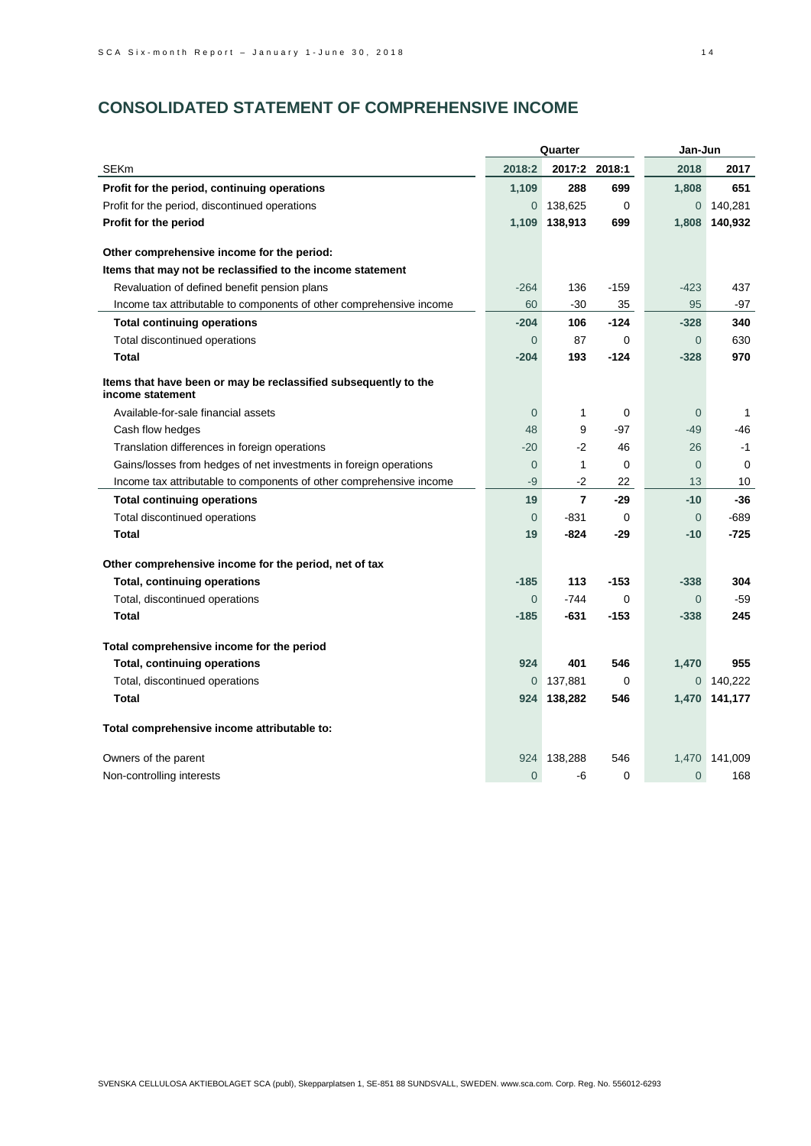# **CONSOLIDATED STATEMENT OF COMPREHENSIVE INCOME**

|                                                                                     | Quarter        |                |               | Jan-Jun        |         |  |
|-------------------------------------------------------------------------------------|----------------|----------------|---------------|----------------|---------|--|
| <b>SEKm</b>                                                                         | 2018:2         |                | 2017:2 2018:1 | 2018           | 2017    |  |
| Profit for the period, continuing operations                                        | 1,109          | 288            | 699           | 1,808          | 651     |  |
| Profit for the period, discontinued operations                                      | $\overline{0}$ | 138,625        | 0             | $\overline{0}$ | 140,281 |  |
| Profit for the period                                                               | 1,109          | 138,913        | 699           | 1,808          | 140,932 |  |
|                                                                                     |                |                |               |                |         |  |
| Other comprehensive income for the period:                                          |                |                |               |                |         |  |
| Items that may not be reclassified to the income statement                          |                |                |               |                |         |  |
| Revaluation of defined benefit pension plans                                        | $-264$         | 136            | $-159$        | $-423$         | 437     |  |
| Income tax attributable to components of other comprehensive income                 | 60             | $-30$          | 35            | 95             | -97     |  |
| <b>Total continuing operations</b>                                                  | $-204$         | 106            | $-124$        | $-328$         | 340     |  |
| Total discontinued operations                                                       | $\Omega$       | 87             | $\Omega$      | $\overline{0}$ | 630     |  |
| Total                                                                               | $-204$         | 193            | $-124$        | $-328$         | 970     |  |
| Items that have been or may be reclassified subsequently to the<br>income statement |                |                |               |                |         |  |
| Available-for-sale financial assets                                                 | $\overline{0}$ | 1              | 0             | $\overline{0}$ | 1       |  |
| Cash flow hedges                                                                    | 48             | 9              | -97           | $-49$          | -46     |  |
| Translation differences in foreign operations                                       | $-20$          | $-2$           | 46            | 26             | $-1$    |  |
| Gains/losses from hedges of net investments in foreign operations                   | $\theta$       | $\mathbf{1}$   | 0             | $\overline{0}$ | 0       |  |
| Income tax attributable to components of other comprehensive income                 | $-9$           | -2             | 22            | 13             | 10      |  |
| <b>Total continuing operations</b>                                                  | 19             | $\overline{7}$ | $-29$         | $-10$          | $-36$   |  |
| Total discontinued operations                                                       | $\overline{0}$ | $-831$         | 0             | $\overline{0}$ | -689    |  |
| Total                                                                               | 19             | -824           | -29           | $-10$          | -725    |  |
| Other comprehensive income for the period, net of tax                               |                |                |               |                |         |  |
| <b>Total, continuing operations</b>                                                 | $-185$         | 113            | $-153$        | $-338$         | 304     |  |
| Total, discontinued operations                                                      | $\overline{0}$ | $-744$         | 0             | $\overline{0}$ | $-59$   |  |
| <b>Total</b>                                                                        | $-185$         | $-631$         | $-153$        | $-338$         | 245     |  |
| Total comprehensive income for the period                                           |                |                |               |                |         |  |
| <b>Total, continuing operations</b>                                                 | 924            | 401            | 546           | 1,470          | 955     |  |
| Total, discontinued operations                                                      | 0              | 137,881        | 0             | 0              | 140,222 |  |
| <b>Total</b>                                                                        | 924            | 138,282        | 546           | 1,470          | 141,177 |  |
| Total comprehensive income attributable to:                                         |                |                |               |                |         |  |
| Owners of the parent                                                                | 924            | 138,288        | 546           | 1,470          | 141,009 |  |
| Non-controlling interests                                                           | $\overline{0}$ | -6             | $\Omega$      | $\mathbf{0}$   | 168     |  |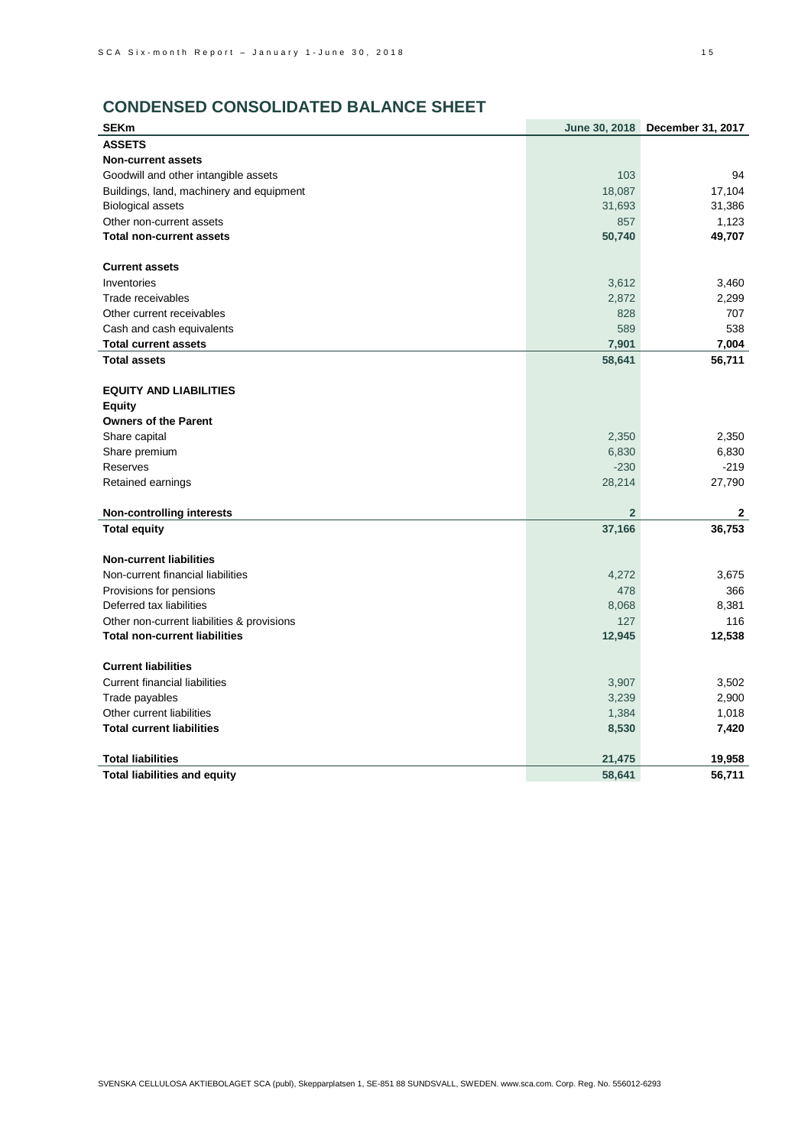# **CONDENSED CONSOLIDATED BALANCE SHEET**

| <b>SEKm</b>                                | June 30, 2018  | December 31, 2017 |
|--------------------------------------------|----------------|-------------------|
| <b>ASSETS</b>                              |                |                   |
| <b>Non-current assets</b>                  |                |                   |
| Goodwill and other intangible assets       | 103            | 94                |
| Buildings, land, machinery and equipment   | 18,087         | 17,104            |
| <b>Biological assets</b>                   | 31,693         | 31,386            |
| Other non-current assets                   | 857            | 1,123             |
| <b>Total non-current assets</b>            | 50,740         | 49,707            |
| <b>Current assets</b>                      |                |                   |
| Inventories                                | 3,612          | 3,460             |
| Trade receivables                          | 2,872          | 2,299             |
| Other current receivables                  | 828            | 707               |
| Cash and cash equivalents                  | 589            | 538               |
| <b>Total current assets</b>                | 7,901          | 7,004             |
| <b>Total assets</b>                        | 58,641         | 56,711            |
| <b>EQUITY AND LIABILITIES</b>              |                |                   |
| Equity                                     |                |                   |
| <b>Owners of the Parent</b>                |                |                   |
| Share capital                              | 2,350          | 2,350             |
| Share premium                              | 6,830          | 6,830             |
| Reserves                                   | $-230$         | $-219$            |
| Retained earnings                          | 28,214         | 27,790            |
| <b>Non-controlling interests</b>           | $\overline{2}$ | 2                 |
| <b>Total equity</b>                        | 37,166         | 36,753            |
| <b>Non-current liabilities</b>             |                |                   |
| Non-current financial liabilities          | 4,272          | 3,675             |
| Provisions for pensions                    | 478            | 366               |
| Deferred tax liabilities                   | 8,068          | 8,381             |
| Other non-current liabilities & provisions | 127            | 116               |
| <b>Total non-current liabilities</b>       | 12,945         | 12,538            |
| <b>Current liabilities</b>                 |                |                   |
| <b>Current financial liabilities</b>       | 3,907          | 3,502             |
| Trade payables                             | 3,239          | 2,900             |
| Other current liabilities                  | 1,384          | 1,018             |
| <b>Total current liabilities</b>           | 8,530          | 7,420             |
| <b>Total liabilities</b>                   | 21,475         | 19,958            |
| <b>Total liabilities and equity</b>        | 58,641         | 56,711            |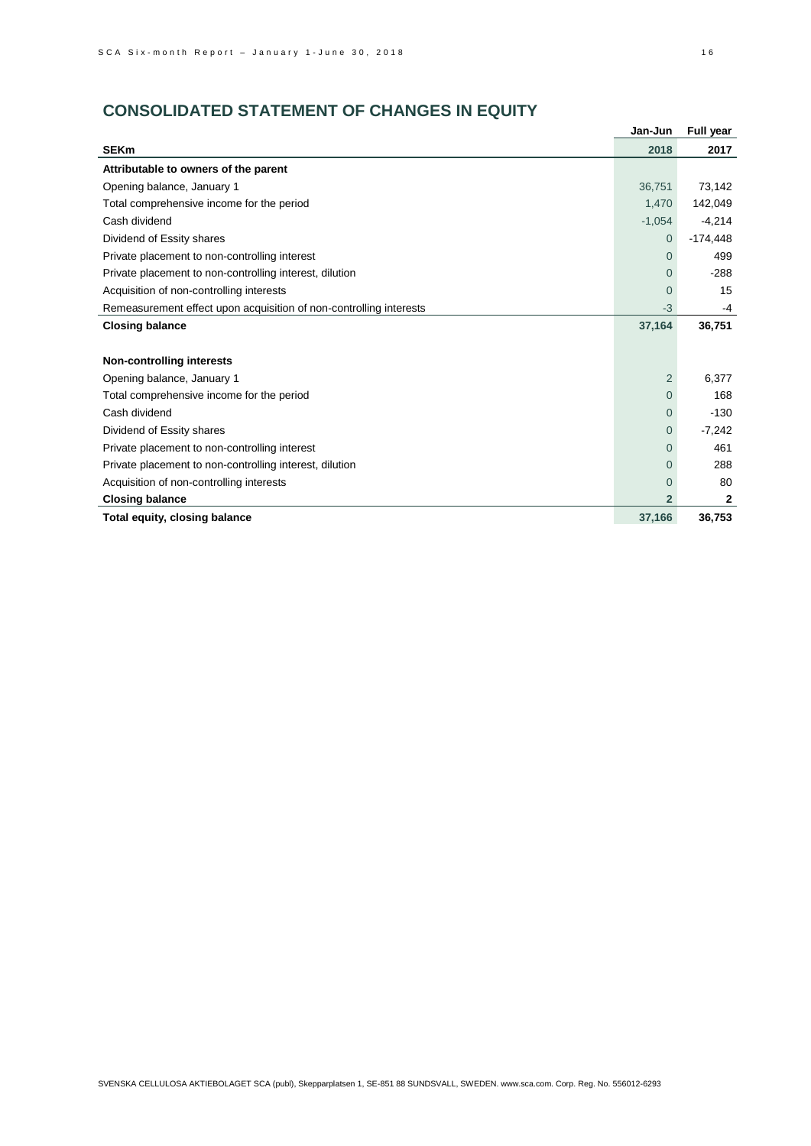# **CONSOLIDATED STATEMENT OF CHANGES IN EQUITY**

|                                                                    | Jan-Jun        | Full year    |
|--------------------------------------------------------------------|----------------|--------------|
| <b>SEKm</b>                                                        | 2018           | 2017         |
| Attributable to owners of the parent                               |                |              |
| Opening balance, January 1                                         | 36,751         | 73,142       |
| Total comprehensive income for the period                          | 1,470          | 142,049      |
| Cash dividend                                                      | $-1,054$       | $-4,214$     |
| Dividend of Essity shares                                          | $\Omega$       | $-174,448$   |
| Private placement to non-controlling interest                      | $\Omega$       | 499          |
| Private placement to non-controlling interest, dilution            | $\Omega$       | $-288$       |
| Acquisition of non-controlling interests                           | $\Omega$       | 15           |
| Remeasurement effect upon acquisition of non-controlling interests | $-3$           | -4           |
| <b>Closing balance</b>                                             | 37,164         | 36,751       |
|                                                                    |                |              |
| <b>Non-controlling interests</b>                                   |                |              |
| Opening balance, January 1                                         | $\overline{2}$ | 6.377        |
| Total comprehensive income for the period                          | $\Omega$       | 168          |
| Cash dividend                                                      | $\overline{0}$ | $-130$       |
| Dividend of Essity shares                                          | $\Omega$       | $-7,242$     |
| Private placement to non-controlling interest                      | $\Omega$       | 461          |
| Private placement to non-controlling interest, dilution            | $\Omega$       | 288          |
| Acquisition of non-controlling interests                           | $\Omega$       | 80           |
| <b>Closing balance</b>                                             | $\overline{2}$ | $\mathbf{2}$ |
| Total equity, closing balance                                      | 37,166         | 36,753       |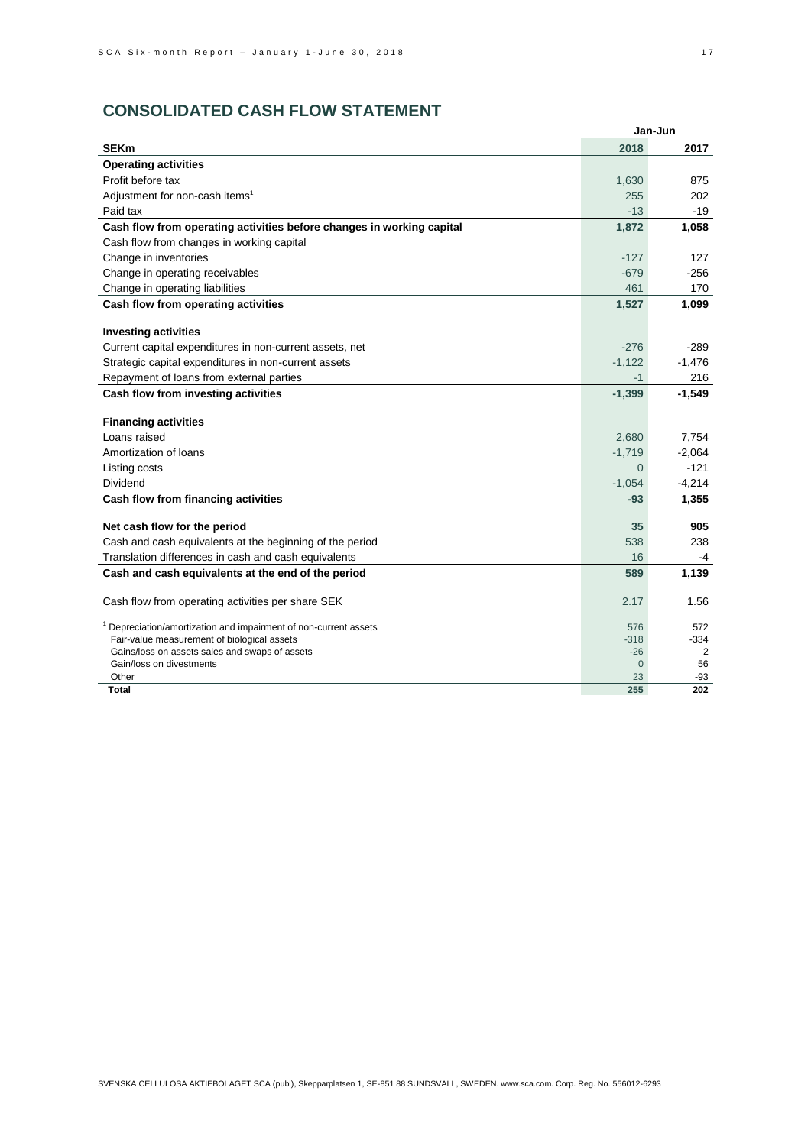# **CONSOLIDATED CASH FLOW STATEMENT**

|                                                                             |                | Jan-Jun  |
|-----------------------------------------------------------------------------|----------------|----------|
| <b>SEKm</b>                                                                 | 2018           | 2017     |
| <b>Operating activities</b>                                                 |                |          |
| Profit before tax                                                           | 1,630          | 875      |
| Adjustment for non-cash items <sup>1</sup>                                  | 255            | 202      |
| Paid tax                                                                    | $-13$          | $-19$    |
| Cash flow from operating activities before changes in working capital       | 1,872          | 1,058    |
| Cash flow from changes in working capital                                   |                |          |
| Change in inventories                                                       | $-127$         | 127      |
| Change in operating receivables                                             | $-679$         | $-256$   |
| Change in operating liabilities                                             | 461            | 170      |
| Cash flow from operating activities                                         | 1,527          | 1,099    |
|                                                                             |                |          |
| <b>Investing activities</b>                                                 |                |          |
| Current capital expenditures in non-current assets, net                     | $-276$         | $-289$   |
| Strategic capital expenditures in non-current assets                        | $-1,122$       | $-1,476$ |
| Repayment of loans from external parties                                    | $-1$           | 216      |
| Cash flow from investing activities                                         | $-1,399$       | $-1,549$ |
|                                                                             |                |          |
| <b>Financing activities</b>                                                 |                |          |
| Loans raised                                                                | 2,680          | 7,754    |
| Amortization of loans                                                       | $-1,719$       | $-2,064$ |
| Listing costs                                                               | $\Omega$       | $-121$   |
| Dividend                                                                    | $-1,054$       | $-4,214$ |
| Cash flow from financing activities                                         | $-93$          | 1,355    |
|                                                                             |                |          |
| Net cash flow for the period                                                | 35             | 905      |
| Cash and cash equivalents at the beginning of the period                    | 538            | 238      |
| Translation differences in cash and cash equivalents                        | 16             | $-4$     |
| Cash and cash equivalents at the end of the period                          | 589            | 1,139    |
|                                                                             |                |          |
| Cash flow from operating activities per share SEK                           | 2.17           | 1.56     |
| <sup>1</sup> Depreciation/amortization and impairment of non-current assets | 576            | 572      |
| Fair-value measurement of biological assets                                 | $-318$         | $-334$   |
| Gains/loss on assets sales and swaps of assets                              | $-26$          | 2        |
| Gain/loss on divestments                                                    | $\overline{0}$ | 56       |
| Other                                                                       | 23<br>255      | $-93$    |
| Total                                                                       |                | 202      |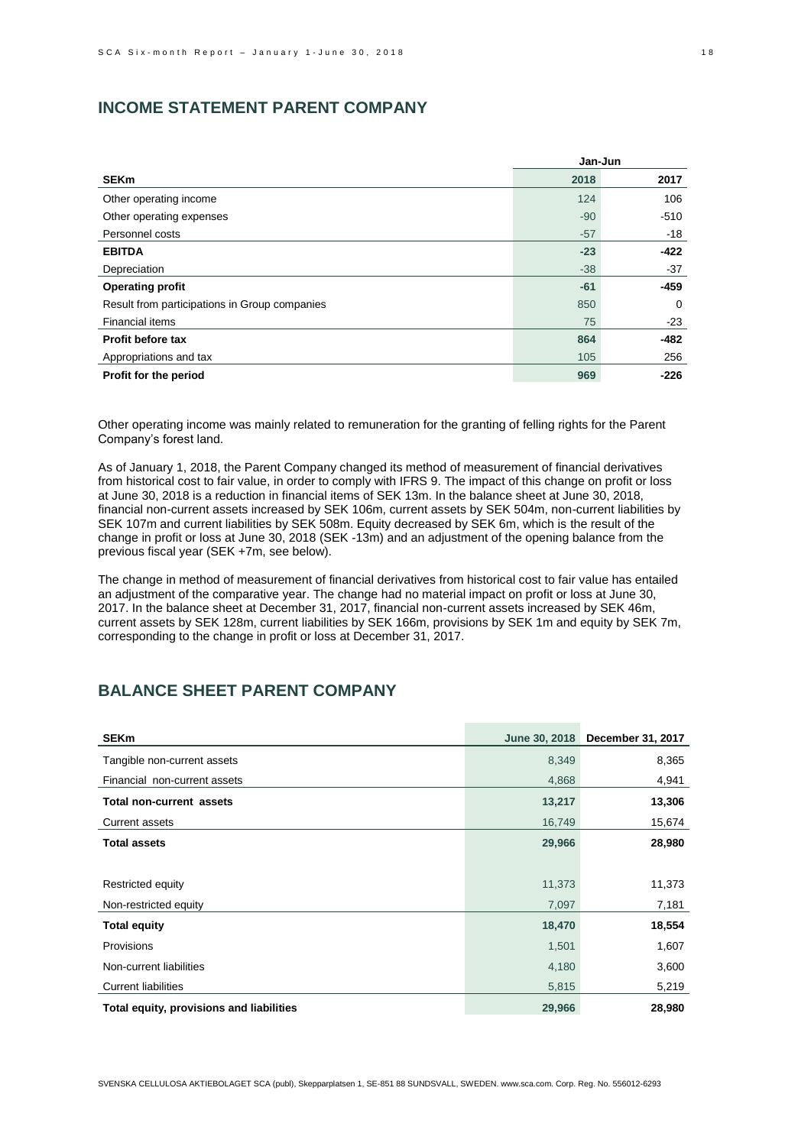# **INCOME STATEMENT PARENT COMPANY**

|                                               | Jan-Jun |        |
|-----------------------------------------------|---------|--------|
| <b>SEKm</b>                                   | 2018    | 2017   |
| Other operating income                        | 124     | 106    |
| Other operating expenses                      | $-90$   | $-510$ |
| Personnel costs                               | $-57$   | $-18$  |
| <b>EBITDA</b>                                 | $-23$   | -422   |
| Depreciation                                  | $-38$   | -37    |
| <b>Operating profit</b>                       | $-61$   | $-459$ |
| Result from participations in Group companies | 850     | 0      |
| <b>Financial items</b>                        | 75      | $-23$  |
| Profit before tax                             | 864     | $-482$ |
| Appropriations and tax                        | 105     | 256    |
| Profit for the period                         | 969     | $-226$ |

Other operating income was mainly related to remuneration for the granting of felling rights for the Parent Company's forest land.

As of January 1, 2018, the Parent Company changed its method of measurement of financial derivatives from historical cost to fair value, in order to comply with IFRS 9. The impact of this change on profit or loss at June 30, 2018 is a reduction in financial items of SEK 13m. In the balance sheet at June 30, 2018, financial non-current assets increased by SEK 106m, current assets by SEK 504m, non-current liabilities by SEK 107m and current liabilities by SEK 508m. Equity decreased by SEK 6m, which is the result of the change in profit or loss at June 30, 2018 (SEK -13m) and an adjustment of the opening balance from the previous fiscal year (SEK +7m, see below).

The change in method of measurement of financial derivatives from historical cost to fair value has entailed an adjustment of the comparative year. The change had no material impact on profit or loss at June 30, 2017. In the balance sheet at December 31, 2017, financial non-current assets increased by SEK 46m, current assets by SEK 128m, current liabilities by SEK 166m, provisions by SEK 1m and equity by SEK 7m, corresponding to the change in profit or loss at December 31, 2017.

# **BALANCE SHEET PARENT COMPANY**

| <b>SEKm</b>                              | June 30, 2018 | December 31, 2017 |
|------------------------------------------|---------------|-------------------|
| Tangible non-current assets              | 8,349         | 8,365             |
| Financial non-current assets             | 4,868         | 4,941             |
| <b>Total non-current assets</b>          | 13,217        | 13,306            |
| Current assets                           | 16,749        | 15,674            |
| <b>Total assets</b>                      | 29,966        | 28,980            |
|                                          |               |                   |
| Restricted equity                        | 11,373        | 11,373            |
| Non-restricted equity                    | 7,097         | 7,181             |
| <b>Total equity</b>                      | 18,470        | 18,554            |
| Provisions                               | 1,501         | 1,607             |
| Non-current liabilities                  | 4,180         | 3,600             |
| <b>Current liabilities</b>               | 5,815         | 5,219             |
| Total equity, provisions and liabilities | 29,966        | 28,980            |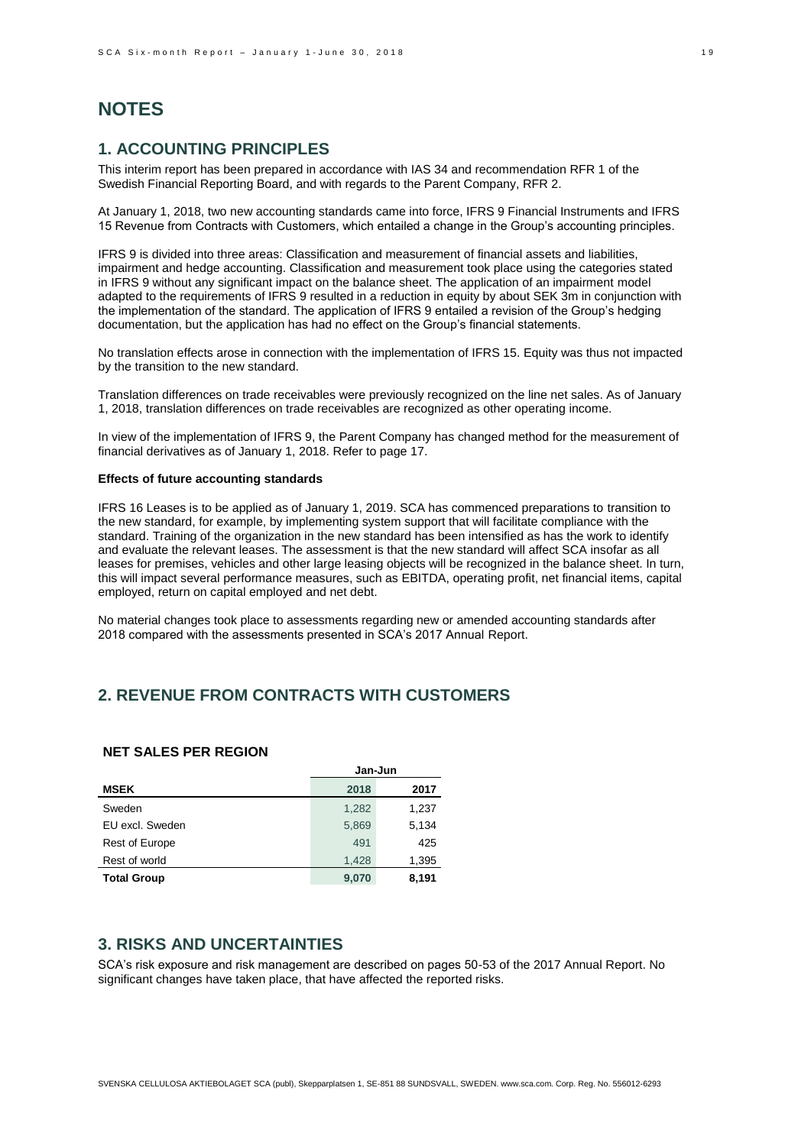# **NOTES**

# **1. ACCOUNTING PRINCIPLES**

This interim report has been prepared in accordance with IAS 34 and recommendation RFR 1 of the Swedish Financial Reporting Board, and with regards to the Parent Company, RFR 2.

At January 1, 2018, two new accounting standards came into force, IFRS 9 Financial Instruments and IFRS 15 Revenue from Contracts with Customers, which entailed a change in the Group's accounting principles.

IFRS 9 is divided into three areas: Classification and measurement of financial assets and liabilities, impairment and hedge accounting. Classification and measurement took place using the categories stated in IFRS 9 without any significant impact on the balance sheet. The application of an impairment model adapted to the requirements of IFRS 9 resulted in a reduction in equity by about SEK 3m in conjunction with the implementation of the standard. The application of IFRS 9 entailed a revision of the Group's hedging documentation, but the application has had no effect on the Group's financial statements.

No translation effects arose in connection with the implementation of IFRS 15. Equity was thus not impacted by the transition to the new standard.

Translation differences on trade receivables were previously recognized on the line net sales. As of January 1, 2018, translation differences on trade receivables are recognized as other operating income.

In view of the implementation of IFRS 9, the Parent Company has changed method for the measurement of financial derivatives as of January 1, 2018. Refer to page 17.

#### **Effects of future accounting standards**

IFRS 16 Leases is to be applied as of January 1, 2019. SCA has commenced preparations to transition to the new standard, for example, by implementing system support that will facilitate compliance with the standard. Training of the organization in the new standard has been intensified as has the work to identify and evaluate the relevant leases. The assessment is that the new standard will affect SCA insofar as all leases for premises, vehicles and other large leasing objects will be recognized in the balance sheet. In turn, this will impact several performance measures, such as EBITDA, operating profit, net financial items, capital employed, return on capital employed and net debt.

No material changes took place to assessments regarding new or amended accounting standards after 2018 compared with the assessments presented in SCA's 2017 Annual Report.

# **2. REVENUE FROM CONTRACTS WITH CUSTOMERS**

### **NET SALES PER REGION**

|                       | Jan-Jun |       |  |
|-----------------------|---------|-------|--|
| <b>MSEK</b>           | 2018    | 2017  |  |
| Sweden                | 1,282   | 1,237 |  |
| EU excl. Sweden       | 5,869   | 5,134 |  |
| <b>Rest of Europe</b> | 491     | 425   |  |
| Rest of world         | 1,428   | 1,395 |  |
| <b>Total Group</b>    | 9,070   | 8,191 |  |

# **3. RISKS AND UNCERTAINTIES**

SCA's risk exposure and risk management are described on pages 50-53 of the 2017 Annual Report. No significant changes have taken place, that have affected the reported risks.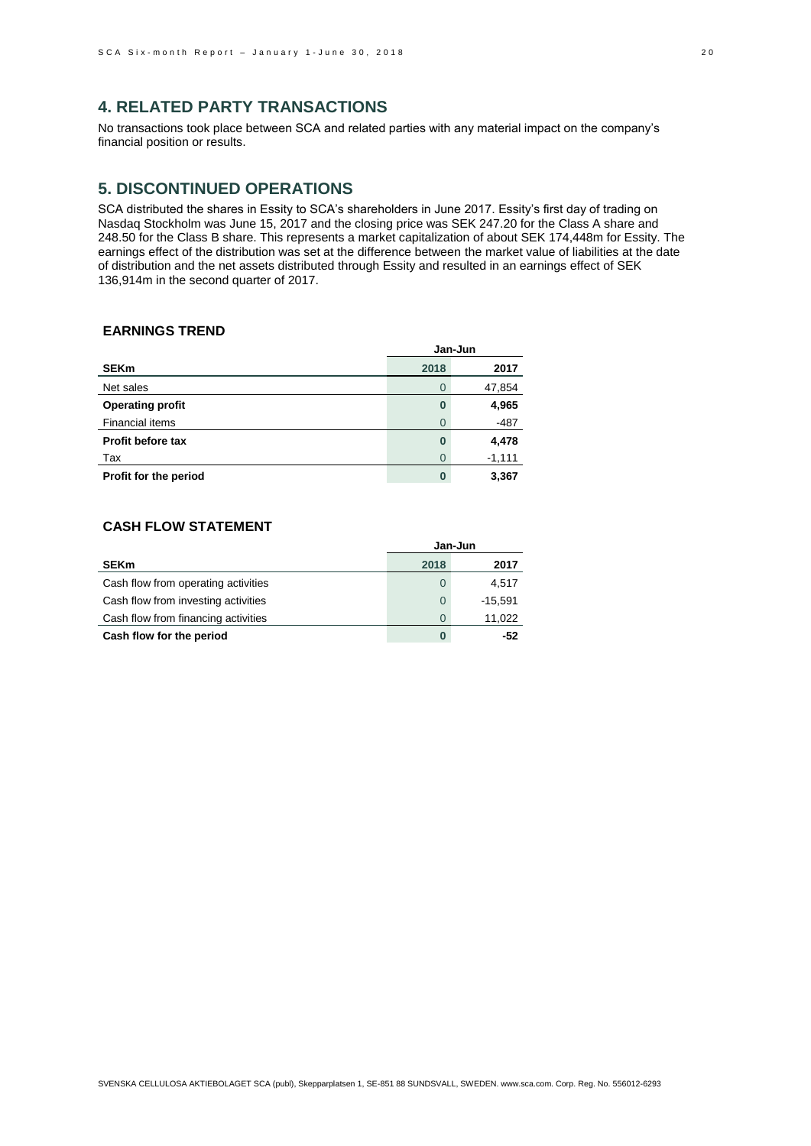# **4. RELATED PARTY TRANSACTIONS**

No transactions took place between SCA and related parties with any material impact on the company's financial position or results.

# **5. DISCONTINUED OPERATIONS**

SCA distributed the shares in Essity to SCA's shareholders in June 2017. Essity's first day of trading on Nasdaq Stockholm was June 15, 2017 and the closing price was SEK 247.20 for the Class A share and 248.50 for the Class B share. This represents a market capitalization of about SEK 174,448m for Essity. The earnings effect of the distribution was set at the difference between the market value of liabilities at the date of distribution and the net assets distributed through Essity and resulted in an earnings effect of SEK 136,914m in the second quarter of 2017.

### **EARNINGS TREND**

|                          | Jan-Jun  |          |  |
|--------------------------|----------|----------|--|
| <b>SEKm</b>              | 2018     | 2017     |  |
| Net sales                | $\Omega$ | 47,854   |  |
| <b>Operating profit</b>  | 0        | 4,965    |  |
| Financial items          | 0        | $-487$   |  |
| <b>Profit before tax</b> | 0        | 4,478    |  |
| Tax                      | 0        | $-1,111$ |  |
| Profit for the period    | 0        | 3,367    |  |

### **CASH FLOW STATEMENT**

|                                     |          | Jan-Jun   |
|-------------------------------------|----------|-----------|
| <b>SEKm</b>                         | 2018     | 2017      |
| Cash flow from operating activities | 0        | 4.517     |
| Cash flow from investing activities | $\Omega$ | $-15.591$ |
| Cash flow from financing activities | 0        | 11,022    |
| Cash flow for the period            | 0        | -52       |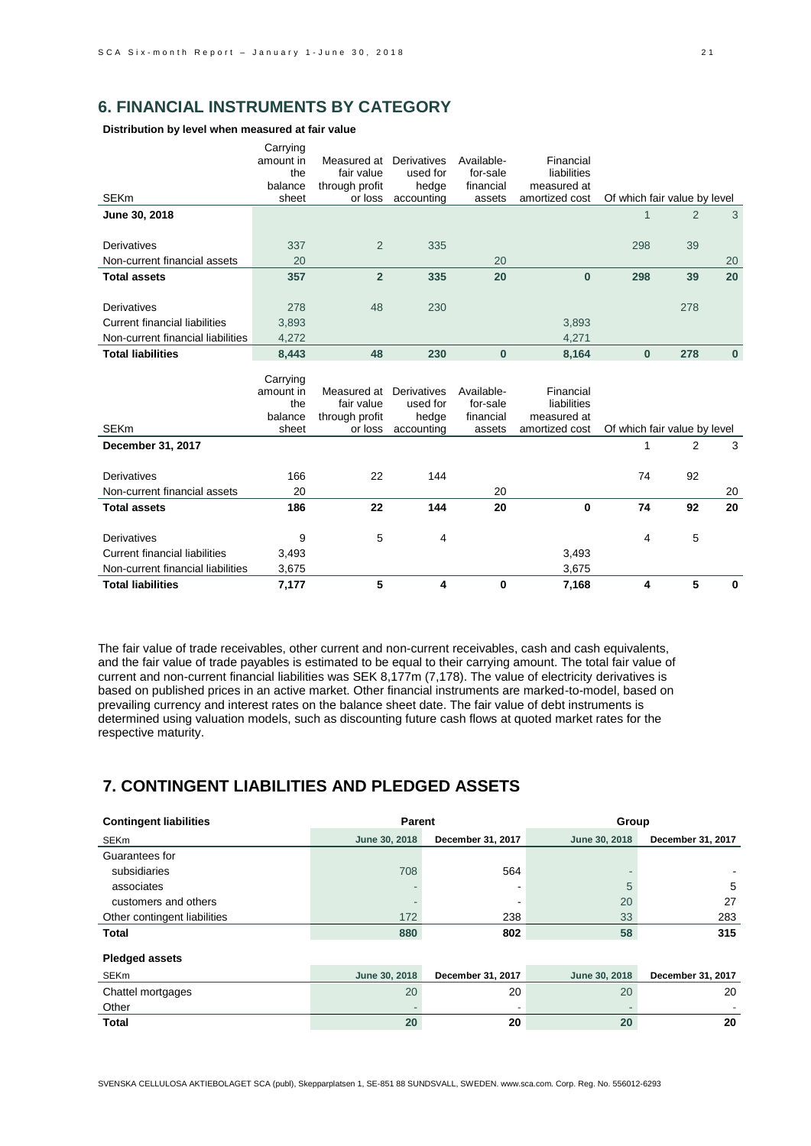# **6. FINANCIAL INSTRUMENTS BY CATEGORY**

**Distribution by level when measured at fair value**

|                                      | Carrying<br>amount in<br>the | Measured at<br>fair value | Derivatives<br>used for | Available-<br>for-sale | Financial<br>liabilities |                              |                |          |
|--------------------------------------|------------------------------|---------------------------|-------------------------|------------------------|--------------------------|------------------------------|----------------|----------|
|                                      | balance                      | through profit            | hedge                   | financial              | measured at              |                              |                |          |
| <b>SEKm</b>                          | sheet                        | or loss                   | accounting              | assets                 | amortized cost           | Of which fair value by level |                |          |
| June 30, 2018                        |                              |                           |                         |                        |                          | $\mathbf{1}$                 | $\overline{2}$ | 3        |
|                                      |                              |                           |                         |                        |                          |                              |                |          |
| Derivatives                          | 337                          | 2                         | 335                     |                        |                          | 298                          | 39             |          |
| Non-current financial assets         | 20                           |                           |                         | 20                     |                          |                              |                | 20       |
| <b>Total assets</b>                  | 357                          | $\overline{2}$            | 335                     | 20                     | $\bf{0}$                 | 298                          | 39             | 20       |
|                                      |                              |                           |                         |                        |                          |                              |                |          |
| Derivatives                          | 278                          | 48                        | 230                     |                        |                          |                              | 278            |          |
| <b>Current financial liabilities</b> | 3,893                        |                           |                         |                        | 3,893                    |                              |                |          |
| Non-current financial liabilities    | 4,272                        |                           |                         |                        | 4,271                    |                              |                |          |
| <b>Total liabilities</b>             | 8,443                        | 48                        | 230                     | $\bf{0}$               | 8,164                    | $\bf{0}$                     | 278            | $\bf{0}$ |
|                                      |                              |                           |                         |                        |                          |                              |                |          |
|                                      |                              |                           |                         |                        |                          |                              |                |          |
|                                      | Carrying                     |                           |                         |                        |                          |                              |                |          |
|                                      | amount in<br>the             | Measured at<br>fair value | Derivatives<br>used for | Available-<br>for-sale | Financial<br>liabilities |                              |                |          |
|                                      | balance                      | through profit            | hedge                   | financial              | measured at              |                              |                |          |
| <b>SEKm</b>                          | sheet                        | or loss                   | accounting              | assets                 | amortized cost           | Of which fair value by level |                |          |
| December 31, 2017                    |                              |                           |                         |                        |                          | 1                            | 2              | 3        |
|                                      |                              |                           |                         |                        |                          |                              |                |          |
| Derivatives                          | 166                          | 22                        | 144                     |                        |                          | 74                           | 92             |          |
| Non-current financial assets         | 20                           |                           |                         | 20                     |                          |                              |                | 20       |
| <b>Total assets</b>                  | 186                          | 22                        | 144                     | 20                     | $\bf{0}$                 | 74                           | 92             | 20       |
|                                      |                              |                           |                         |                        |                          |                              |                |          |
| Derivatives                          | 9                            | 5                         | 4                       |                        |                          | 4                            | 5              |          |
| <b>Current financial liabilities</b> | 3,493                        |                           |                         |                        | 3,493                    |                              |                |          |
| Non-current financial liabilities    | 3,675                        |                           |                         |                        | 3,675                    |                              |                |          |

The fair value of trade receivables, other current and non-current receivables, cash and cash equivalents, and the fair value of trade payables is estimated to be equal to their carrying amount. The total fair value of current and non-current financial liabilities was SEK 8,177m (7,178). The value of electricity derivatives is based on published prices in an active market. Other financial instruments are marked-to-model, based on prevailing currency and interest rates on the balance sheet date. The fair value of debt instruments is determined using valuation models, such as discounting future cash flows at quoted market rates for the respective maturity.

# **7. CONTINGENT LIABILITIES AND PLEDGED ASSETS**

| <b>Contingent liabilities</b> | Parent        |                   | Group         |                   |  |  |
|-------------------------------|---------------|-------------------|---------------|-------------------|--|--|
| <b>SEKm</b>                   | June 30, 2018 | December 31, 2017 | June 30, 2018 | December 31, 2017 |  |  |
| Guarantees for                |               |                   |               |                   |  |  |
| subsidiaries                  | 708           | 564               |               |                   |  |  |
| associates                    |               |                   | 5             | 5                 |  |  |
| customers and others          |               |                   | 20            | 27                |  |  |
| Other contingent liabilities  | 172           | 238               | 33            | 283               |  |  |
| <b>Total</b>                  | 880           | 802               | 58            | 315               |  |  |
| <b>Pledged assets</b>         |               |                   |               |                   |  |  |
| <b>SEKm</b>                   | June 30, 2018 | December 31, 2017 | June 30, 2018 | December 31, 2017 |  |  |
| Chattel mortgages             | 20            | 20                | 20            | 20                |  |  |
| Other                         |               | ۰                 |               |                   |  |  |
| <b>Total</b>                  | 20            | 20                | 20            | 20                |  |  |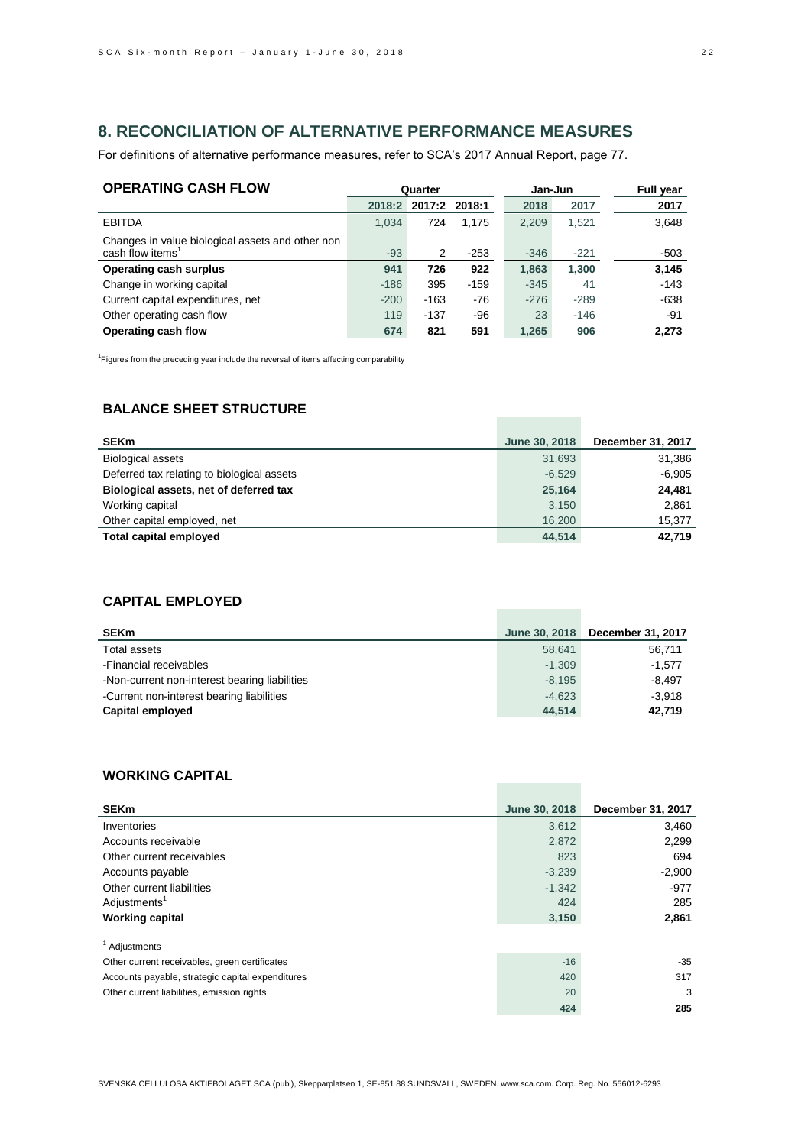# **8. RECONCILIATION OF ALTERNATIVE PERFORMANCE MEASURES**

For definitions of alternative performance measures, refer to SCA's 2017 Annual Report, page 77.

| <b>OPERATING CASH FLOW</b>                                                       | Quarter |               | Jan-Jun |        | <b>Full year</b> |        |
|----------------------------------------------------------------------------------|---------|---------------|---------|--------|------------------|--------|
|                                                                                  | 2018:2  | 2017:2 2018:1 |         | 2018   | 2017             | 2017   |
| <b>EBITDA</b>                                                                    | 1.034   | 724           | 1.175   | 2,209  | 1.521            | 3,648  |
| Changes in value biological assets and other non<br>cash flow items <sup>1</sup> | $-93$   | 2             | $-253$  | $-346$ | $-221$           | $-503$ |
| <b>Operating cash surplus</b>                                                    | 941     | 726           | 922     | 1,863  | 1,300            | 3,145  |
| Change in working capital                                                        | $-186$  | 395           | $-159$  | $-345$ | 41               | $-143$ |
| Current capital expenditures, net                                                | $-200$  | $-163$        | -76     | $-276$ | $-289$           | $-638$ |
| Other operating cash flow                                                        | 119     | $-137$        | -96     | 23     | $-146$           | -91    |
| Operating cash flow                                                              | 674     | 821           | 591     | 1.265  | 906              | 2.273  |

<sup>1</sup> Figures from the preceding year include the reversal of items affecting comparability

# **BALANCE SHEET STRUCTURE**

| <b>SEKm</b>                                | June 30, 2018 | December 31, 2017 |
|--------------------------------------------|---------------|-------------------|
| <b>Biological assets</b>                   | 31,693        | 31,386            |
| Deferred tax relating to biological assets | $-6,529$      | $-6,905$          |
| Biological assets, net of deferred tax     | 25,164        | 24,481            |
| Working capital                            | 3,150         | 2,861             |
| Other capital employed, net                | 16,200        | 15,377            |
| Total capital employed                     | 44,514        | 42,719            |

**Contract Contract** 

**Contract Contract** 

**Contract Contract** 

### **CAPITAL EMPLOYED**

| <b>SEKm</b>                                   | June 30, 2018 | December 31, 2017 |
|-----------------------------------------------|---------------|-------------------|
| Total assets                                  | 58,641        | 56,711            |
| -Financial receivables                        | $-1.309$      | $-1.577$          |
| -Non-current non-interest bearing liabilities | $-8.195$      | $-8.497$          |
| -Current non-interest bearing liabilities     | $-4.623$      | $-3.918$          |
| Capital employed                              | 44,514        | 42.719            |

### **WORKING CAPITAL**

| <b>SEKm</b>                                      | June 30, 2018 | December 31, 2017 |
|--------------------------------------------------|---------------|-------------------|
| Inventories                                      | 3,612         | 3,460             |
| Accounts receivable                              | 2,872         | 2.299             |
| Other current receivables                        | 823           | 694               |
| Accounts payable                                 | $-3,239$      | $-2,900$          |
| Other current liabilities                        | $-1,342$      | $-977$            |
| Adjustments <sup>1</sup>                         | 424           | 285               |
| <b>Working capital</b>                           | 3,150         | 2,861             |
| <sup>1</sup> Adjustments                         |               |                   |
| Other current receivables, green certificates    | $-16$         | $-35$             |
| Accounts payable, strategic capital expenditures | 420           | 317               |
| Other current liabilities, emission rights       | 20            | 3                 |
|                                                  | 424           | 285               |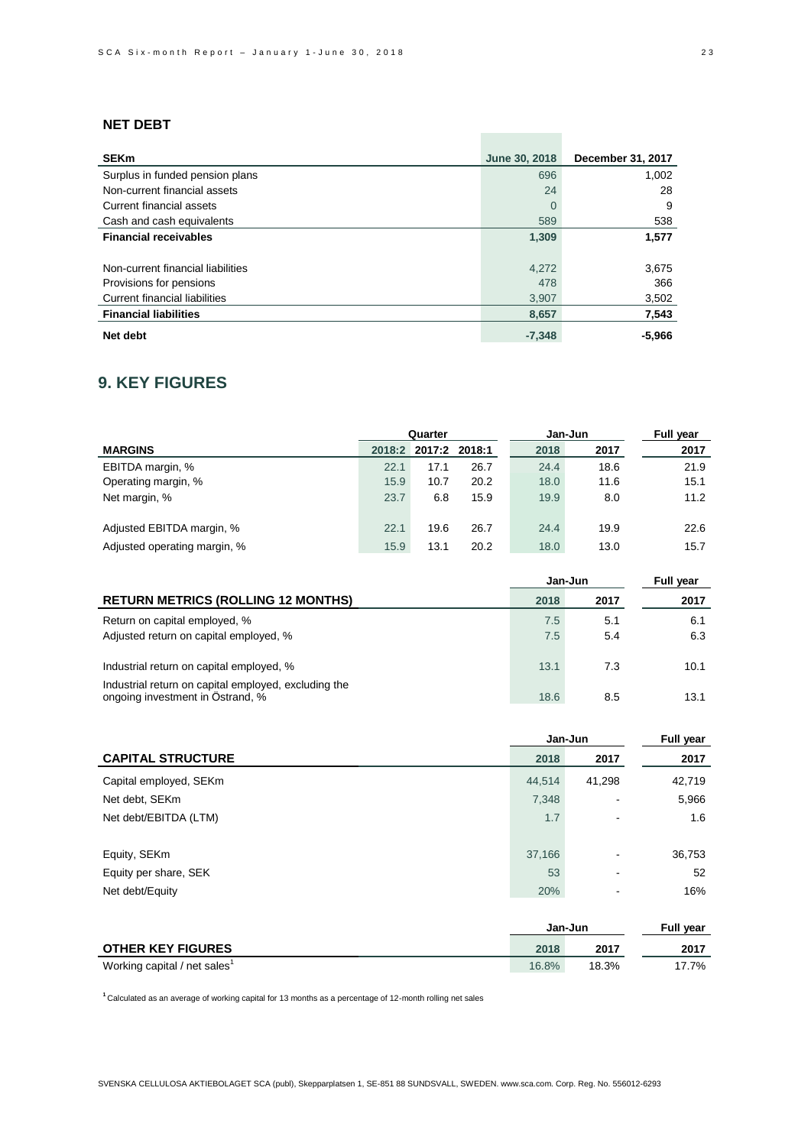# **NET DEBT**

| <b>SEKm</b>                          | June 30, 2018 | December 31, 2017 |
|--------------------------------------|---------------|-------------------|
| Surplus in funded pension plans      | 696           | 1,002             |
| Non-current financial assets         | 24            | 28                |
| Current financial assets             | $\Omega$      | 9                 |
| Cash and cash equivalents            | 589           | 538               |
| <b>Financial receivables</b>         | 1,309         | 1,577             |
|                                      |               |                   |
| Non-current financial liabilities    | 4,272         | 3,675             |
| Provisions for pensions              | 478           | 366               |
| <b>Current financial liabilities</b> | 3,907         | 3,502             |
| <b>Financial liabilities</b>         | 8,657         | 7,543             |
| Net debt                             | $-7,348$      | $-5,966$          |

# **9. KEY FIGURES**

|                              | Quarter |               |      | <b>Full year</b><br>Jan-Jun |      |      |
|------------------------------|---------|---------------|------|-----------------------------|------|------|
| <b>MARGINS</b>               | 2018:2  | 2017:2 2018:1 |      | 2018                        | 2017 | 2017 |
| EBITDA margin, %             | 22.1    | 17.1          | 26.7 | 24.4                        | 18.6 | 21.9 |
| Operating margin, %          | 15.9    | 10.7          | 20.2 | 18.0                        | 11.6 | 15.1 |
| Net margin, %                | 23.7    | 6.8           | 15.9 | 19.9                        | 8.0  | 11.2 |
|                              |         |               |      |                             |      |      |
| Adjusted EBITDA margin, %    | 22.1    | 19.6          | 26.7 | 24.4                        | 19.9 | 22.6 |
| Adjusted operating margin, % | 15.9    | 13.1          | 20.2 | 18.0                        | 13.0 | 15.7 |

|                                                                                                  | Jan-Jun    | Full year  |            |
|--------------------------------------------------------------------------------------------------|------------|------------|------------|
| <b>RETURN METRICS (ROLLING 12 MONTHS)</b>                                                        | 2018       | 2017       | 2017       |
| Return on capital employed, %<br>Adjusted return on capital employed, %                          | 7.5<br>7.5 | 5.1<br>5.4 | 6.1<br>6.3 |
| Industrial return on capital employed, %<br>Industrial return on capital employed, excluding the | 13.1       | 7.3        | 10.1       |
| ongoing investment in Östrand, %                                                                 | 18.6       | 8.5        | 13.1       |

| <b>Full year</b> |  |
|------------------|--|
| 2017             |  |
| 42,719           |  |
| 5,966            |  |
| 1.6              |  |
|                  |  |
| 36,753           |  |
| 52               |  |
| 16%              |  |
|                  |  |

|                                          | Jan-Jun | <b>Full year</b> |       |
|------------------------------------------|---------|------------------|-------|
| <b>OTHER KEY FIGURES</b>                 | 2018    | 2017             | 2017  |
| Working capital / net sales <sup>1</sup> | 16.8%   | 18.3%            | 17.7% |

**<sup>1</sup>**Calculated as an average of working capital for 13 months as a percentage of 12-month rolling net sales